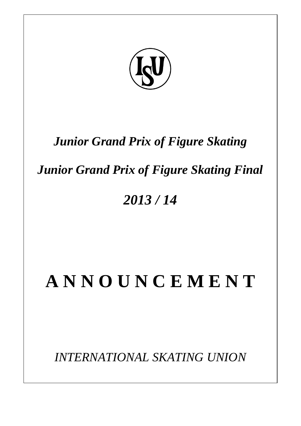

## *Junior Grand Prix of Figure Skating*

## *Junior Grand Prix of Figure Skating Final*

## *2013 / 14*

# **A N N O U N C E M E N T**

*INTERNATIONAL SKATING UNION*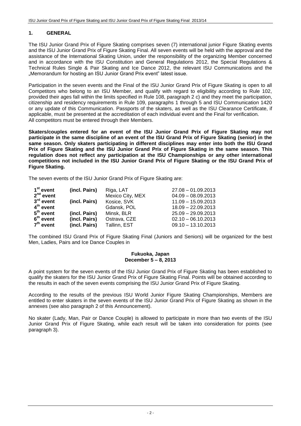#### **1. GENERAL**

The ISU Junior Grand Prix of Figure Skating comprises seven (7) international junior Figure Skating events and the ISU Junior Grand Prix of Figure Skating Final. All seven events will be held with the approval and the assistance of the International Skating Union, under the responsibility of the organizing Member concerned and in accordance with the ISU Constitution and General Regulations 2012, the Special Regulations & Technical Rules Single & Pair Skating and Ice Dance 2012, the relevant ISU Communications and the "Memorandum for hosting an ISU Junior Grand Prix event" latest issue.

Participation in the seven events and the Final of the ISU Junior Grand Prix of Figure Skating is open to all Competitors who belong to an ISU Member, and qualify with regard to eligibility according to Rule 102, provided their ages fall within the limits specified in Rule 108, paragraph 2 c) and they meet the participation, citizenship and residency requirements in Rule 109, paragraphs 1 through 5 and ISU Communication 1420 or any update of this Communication. Passports of the skaters, as well as the ISU Clearance Certificate, if applicable, must be presented at the accreditation of each individual event and the Final for verification. All competitors must be entered through their Members.

**Skaters/couples entered for an event of the ISU Junior Grand Prix of Figure Skating may not participate in the same discipline of an event of the ISU Grand Prix of Figure Skating (senior) in the same season. Only skaters participating in different disciplines may enter into both the ISU Grand Prix of Figure Skating and the ISU Junior Grand Prix of Figure Skating in the same season. This regulation does not reflect any participation at the ISU Championships or any other international competitions not included in the ISU Junior Grand Prix of Figure Skating or the ISU Grand Prix of Figure Skating.**

The seven events of the ISU Junior Grand Prix of Figure Skating are:

| 1 <sup>st</sup> event | (incl. Pairs) | Riga, LAT        | $27.08 - 01.09.2013$ |
|-----------------------|---------------|------------------|----------------------|
| $2nd$ event           |               | Mexico City, MEX | $04.09 - 08.09.2013$ |
| $3rd$ event           | (incl. Pairs) | Kosice, SVK      | $11.09 - 15.09.2013$ |
| $4th$ event           |               | Gdansk, POL      | $18.09 - 22.09.2013$ |
| $5th$ event           | (incl. Pairs) | Minsk, BLR       | $25.09 - 29.09.2013$ |
| $6th$ event           | (incl. Pairs) | Ostrava, CZE     | $02.10 - 06.10.2013$ |
| $7th$ event           | (incl. Pairs) | Tallinn, EST     | $09.10 - 13.10.2013$ |

The combined ISU Grand Prix of Figure Skating Final (Juniors and Seniors) will be organized for the best Men, Ladies, Pairs and Ice Dance Couples in

#### **Fukuoka, Japan December 5 – 8, 2013**

A point system for the seven events of the ISU Junior Grand Prix of Figure Skating has been established to qualify the skaters for the ISU Junior Grand Prix of Figure Skating Final. Points will be obtained according to the results in each of the seven events comprising the ISU Junior Grand Prix of Figure Skating.

According to the results of the previous ISU World Junior Figure Skating Championships, Members are entitled to enter skaters in the seven events of the ISU Junior Grand Prix of Figure Skating as shown in the annexes (see also paragraph 2 of this Announcement).

No skater (Lady, Man, Pair or Dance Couple) is allowed to participate in more than two events of the ISU Junior Grand Prix of Figure Skating, while each result will be taken into consideration for points (see paragraph 3).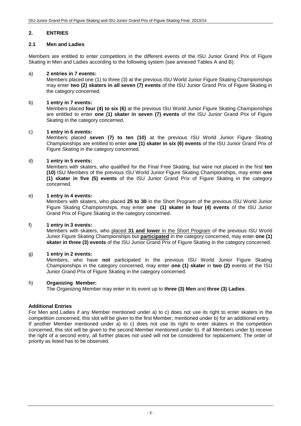#### **2. ENTRIES**

#### **2.1 Men and Ladies**

Members are entitled to enter competitors in the different events of the ISU Junior Grand Prix of Figure Skating in Men and Ladies according to the following system (see annexed Tables A and B):

#### a) **2 entries in 7 events:**

Members placed one (1) to three (3) at the previous ISU World Junior Figure Skating Championships may enter **two (2) skaters in all seven (7) events** of the ISU Junior Grand Prix of Figure Skating in the category concerned.

#### b) **1 entry in 7 events:**

Members placed **four (4) to six (6)** at the previous ISU World Junior Figure Skating Championships are entitled to enter **one (1) skater in seven (7) events** of the ISU Junior Grand Prix of Figure Skating in the category concerned.

#### c) **1 entry in 6 events:**

Members placed **seven (7) to ten (10)** at the previous ISU World Junior Figure Skating Championships are entitled to enter **one (1) skater in six (6) events** of the ISU Junior Grand Prix of Figure Skating in the category concerned.

#### d) **1 entry in 5 events:**

Members with skaters, who qualified for the Final Free Skating, but were not placed in the first **ten (10)** ISU Members of the previous ISU World Junior Figure Skating Championships, may enter **one (1) skater in five (5) events** of the ISU Junior Grand Prix of Figure Skating in the category concerned.

#### e) **1 entry in 4 events:**

Members with skaters, who placed **25 to 30** in the Short Program of the previous ISU World Junior Figure Skating Championships, may enter **one (1) skater in four (4) events** of the ISU Junior Grand Prix of Figure Skating in the category concerned.

#### f) **1 entry in 3 events:**

Members with skaters, who placed **31 and lower** in the Short Program of the previous ISU World Junior Figure Skating Championships but **participated** in the category concerned, may enter **one (1) skater in three (3) events** of the ISU Junior Grand Prix of Figure Skating in the category concerned.

#### g) **1 entry in 2 events:**

Members, who have **not** participated in the previous ISU World Junior Figure Skating Championships in the category concerned, may enter **one (1) skater** in **two (2)** events of the ISU Junior Grand Prix of Figure Skating in the category concerned.

#### h) **Organizing Member:**

The Organizing Member may enter in its event up to **three (3) Men** and **three (3) Ladies**.

#### **Additional Entries**

For Men and Ladies if any Member mentioned under a) to c) does not use its right to enter skaters in the competition concerned, this slot will be given to the first Member, mentioned under b) for an additional entry. If another Member mentioned under a) to c) does not use its right to enter skaters in the competition concerned, this slot will be given to the second Member mentioned under b). If all Members under b) receive the right of a second entry, all further places not used will not be considered for replacement. The order of priority as listed has to be observed.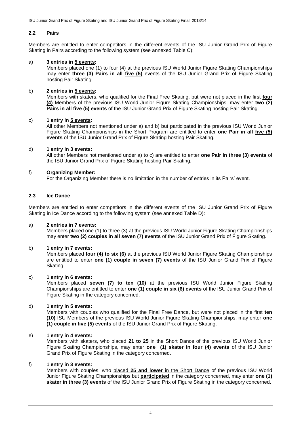#### **2.2 Pairs**

Members are entitled to enter competitors in the different events of the ISU Junior Grand Prix of Figure Skating in Pairs according to the following system (see annexed Table C):

#### a) **3 entries in 5 events:**

Members placed one (1) to four (4) at the previous ISU World Junior Figure Skating Championships may enter **three (3) Pairs in all five (5)** events of the ISU Junior Grand Prix of Figure Skating hosting Pair Skating.

#### b) **2 entries in 5 events:**

Members with skaters, who qualified for the Final Free Skating, but were not placed in the first **four (4)** Members of the previous ISU World Junior Figure Skating Championships, may enter **two (2) Pairs in all five (5) events** of the ISU Junior Grand Prix of Figure Skating hosting Pair Skating.

#### c) **1 entry in 5 events:**

All other Members not mentioned under a) and b) but participated in the previous ISU World Junior Figure Skating Championships in the Short Program are entitled to enter **one Pair in all five (5) events** of the ISU Junior Grand Prix of Figure Skating hosting Pair Skating.

#### d) **1 entry in 3 events:**

All other Members not mentioned under a) to c) are entitled to enter **one Pair in three (3) events** of the ISU Junior Grand Prix of Figure Skating hosting Pair Skating.

#### f) **Organizing Member:**

For the Organizing Member there is no limitation in the number of entries in its Pairs' event.

#### **2.3 Ice Dance**

Members are entitled to enter competitors in the different events of the ISU Junior Grand Prix of Figure Skating in Ice Dance according to the following system (see annexed Table D):

#### a) **2 entries in 7 events:**

Members placed one (1) to three (3) at the previous ISU World Junior Figure Skating Championships may enter **two (2) couples in all seven (7) events** of the ISU Junior Grand Prix of Figure Skating.

#### b) **1 entry in 7 events:**

Members placed **four (4) to six (6)** at the previous ISU World Junior Figure Skating Championships are entitled to enter **one (1) couple in seven (7) events** of the ISU Junior Grand Prix of Figure Skating.

#### c) **1 entry in 6 events:**

Members placed **seven (7) to ten (10)** at the previous ISU World Junior Figure Skating Championships are entitled to enter **one (1) couple in six (6) events** of the ISU Junior Grand Prix of Figure Skating in the category concerned.

#### d) **1 entry in 5 events:**

Members with couples who qualified for the Final Free Dance, but were not placed in the first **ten (10)** ISU Members of the previous ISU World Junior Figure Skating Championships, may enter **one (1) couple in five (5) events** of the ISU Junior Grand Prix of Figure Skating.

#### e) **1 entry in 4 events:**

Members with skaters, who placed **21 to 25** in the Short Dance of the previous ISU World Junior Figure Skating Championships, may enter **one (1) skater in four (4) events** of the ISU Junior Grand Prix of Figure Skating in the category concerned.

#### f) **1 entry in 3 events:**

Members with couples, who placed **25 and lower** in the Short Dance of the previous ISU World Junior Figure Skating Championships but **participated** in the category concerned, may enter **one (1) skater in three (3) events** of the ISU Junior Grand Prix of Figure Skating in the category concerned.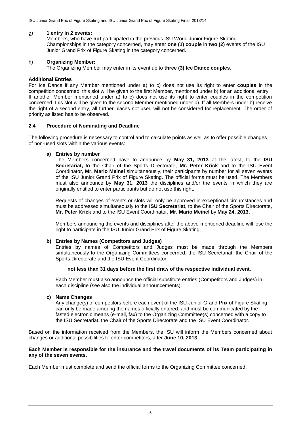#### g) **1 entry in 2 events:**

Members, who have **not** participated in the previous ISU World Junior Figure Skating Championships in the category concerned, may enter **one (1) couple** in **two (2)** events of the ISU Junior Grand Prix of Figure Skating in the category concerned.

#### h) **Organizing Member:**

The Organizing Member may enter in its event up to **three (3) Ice Dance couples**.

#### **Additional Entries**

For Ice Dance if any Member mentioned under a) to c) does not use its right to enter **couples** in the competition concerned, this slot will be given to the first Member, mentioned under b) for an additional entry. If another Member mentioned under a) to c) does not use its right to enter couples in the competition concerned, this slot will be given to the second Member mentioned under b). If all Members under b) receive the right of a second entry, all further places not used will not be considered for replacement. The order of priority as listed has to be observed.

#### **2.4 Procedure of Nominating and Deadline**

The following procedure is necessary to control and to calculate points as well as to offer possible changes of non-used slots within the various events:

#### **a) Entries by number**

The Members concerned have to announce by **May 31, 2013** at the latest, to the **ISU Secretariat,** to the Chair of the Sports Directorate, **Mr. Peter Krick** and to the ISU Event Coordinator, **Mr. Mario Meinel** simultaneously, their participants by number for all seven events of the ISU Junior Grand Prix of Figure Skating. The official forms must be used. The Members must also announce by **May 31, 2013** the disciplines and/or the events in which they are originally entitled to enter participants but do not use this right.

Requests of changes of events or slots will only be approved in exceptional circumstances and must be addressed simultaneously to the **ISU Secretariat,** to the Chair of the Sports Directorate, **Mr. Peter Krick** and to the ISU Event Coordinator, **Mr. Mario Meinel** by **May 24, 2013.**

Members announcing the events and disciplines after the above-mentioned deadline will lose the right to participate in the ISU Junior Grand Prix of Figure Skating.

#### **b) Entries by Names (Competitors and Judges)**

Entries by names of Competitors and Judges must be made through the Members simultaneously to the Organizing Committees concerned, the ISU Secretariat, the Chair of the Sports Directorate and the ISU Event Coordinator

#### **not less than 31 days before the first draw of the respective individual event.**

Each Member must also announce the official substitute entries (Competitors and Judges) in each discipline (see also the individual announcements).

#### **c) Name Changes**

Any change(s) of competitors before each event of the ISU Junior Grand Prix of Figure Skating can only be made amoung the names officially entered, and must be communicated by the fasted electronic means (e-mail, fax) to the Organizing Committee(s) concerned with a copy to the ISU Secretariat, the Chair of the Sports Directorate and the ISU Event Coordinator.

Based on the information received from the Members, the ISU will inform the Members concerned about changes or additional possibilities to enter competitors, after **June 10, 2013**.

#### **Each Member is responsible for the insurance and the travel documents of its Team participating in any of the seven events.**

Each Member must complete and send the official forms to the Organizing Committee concerned.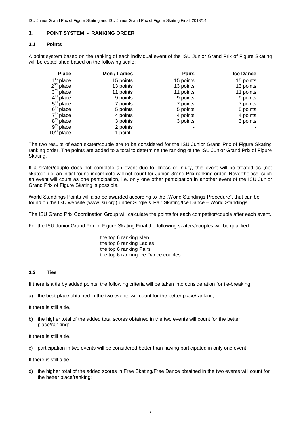#### **3. POINT SYSTEM - RANKING ORDER**

#### **3.1 Points**

A point system based on the ranking of each individual event of the ISU Junior Grand Prix of Figure Skating will be established based on the following scale:

| <b>Place</b>               | Men / Ladies | <b>Pairs</b> | <b>Ice Dance</b> |
|----------------------------|--------------|--------------|------------------|
| place                      | 15 points    | 15 points    | 15 points        |
| $2^{nd}$<br>place          | 13 points    | 13 points    | 13 points        |
| 3 <sup>rd</sup><br>place   | 11 points    | 11 points    | 11 points        |
| $4^{\text{th}}$<br>place   | 9 points     | 9 points     | 9 points         |
| $5^{\mathsf{th}}$<br>place | 7 points     | 7 points     | 7 points         |
| 6 <sup>th</sup><br>place   | 5 points     | 5 points     | 5 points         |
| $7^{\mathsf{th}}$<br>place | 4 points     | 4 points     | 4 points         |
| 8 <sup>th</sup><br>place   | 3 points     | 3 points     | 3 points         |
| 9 <sup>th</sup><br>place   | 2 points     |              |                  |
| $10^{\text{th}}$<br>place  | 1 point      |              | ٠                |

The two results of each skater/couple are to be considered for the ISU Junior Grand Prix of Figure Skating ranking order. The points are added to a total to determine the ranking of the ISU Junior Grand Prix of Figure Skating.

If a skater/couple does not complete an event due to illness or injury, this event will be treated as "not skated", i.e. an initial round incomplete will not count for Junior Grand Prix ranking order. Nevertheless, such an event will count as one participation, i.e. only one other participation in another event of the ISU Junior Grand Prix of Figure Skating is possible.

World Standings Points will also be awarded according to the "World Standings Procedure", that can be found on the ISU website [\(www.isu.org\)](http://www.isu.org/) under Single & Pair Skating/Ice Dance – World Standings.

The ISU Grand Prix Coordination Group will calculate the points for each competitor/couple after each event.

For the ISU Junior Grand Prix of Figure Skating Final the following skaters/couples will be qualified:

the top 6 ranking Men the top 6 ranking Ladies the top 6 ranking Pairs the top 6 ranking Ice Dance couples

#### **3.2 Ties**

If there is a tie by added points, the following criteria will be taken into consideration for tie-breaking:

a) the best place obtained in the two events will count for the better place/ranking;

If there is still a tie,

b) the higher total of the added total scores obtained in the two events will count for the better place/ranking:

If there is still a tie,

c) participation in two events will be considered better than having participated in only one event;

If there is still a tie,

d) the higher total of the added scores in Free Skating/Free Dance obtained in the two events will count for the better place/ranking;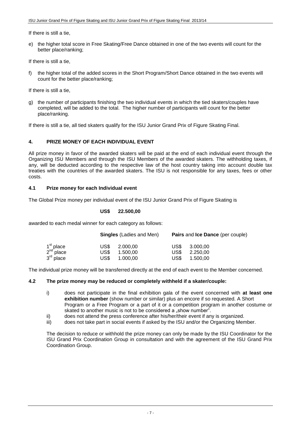If there is still a tie,

e) the higher total score in Free Skating/Free Dance obtained in one of the two events will count for the better place/ranking;

If there is still a tie,

f) the higher total of the added scores in the Short Program/Short Dance obtained in the two events will count for the better place/ranking;

If there is still a tie,

g) the number of participants finishing the two individual events in which the tied skaters/couples have completed, will be added to the total. The higher number of participants will count for the better place/ranking.

If there is still a tie, all tied skaters qualify for the ISU Junior Grand Prix of Figure Skating Final.

#### **4. PRIZE MONEY OF EACH INDIVIDUAL EVENT**

All prize money in favor of the awarded skaters will be paid at the end of each individual event through the Organizing ISU Members and through the ISU Members of the awarded skaters. The withholding taxes, if any, will be deducted according to the respective law of the host country taking into account double tax treaties with the countries of the awarded skaters. The ISU is not responsible for any taxes, fees or other costs.

#### **4.1 Prize money for each Individual event**

The Global Prize money per individual event of the ISU Junior Grand Prix of Figure Skating is

#### **US\$ 22.500,00**

awarded to each medal winner for each category as follows:

|                                                                         |              | <b>Singles</b> (Ladies and Men) | Pairs and Ice Dance (per couple) |                      |  |  |
|-------------------------------------------------------------------------|--------------|---------------------------------|----------------------------------|----------------------|--|--|
| 1 <sup>st</sup> place<br>2 <sup>nd</sup> place<br>3 <sup>rd</sup> place | US\$<br>US\$ | 2.000.00<br>1.500.00            | US\$<br>US\$                     | 3.000.00<br>2.250.00 |  |  |
|                                                                         | US\$         | 1.000.00                        | US\$                             | 1.500.00             |  |  |

The individual prize money will be transferred directly at the end of each event to the Member concerned.

#### **4.2 The prize money may be reduced or completely withheld if a skater/couple:**

- i) does not participate in the final exhibition gala of the event concerned with **at least one exhibition number** (show number or similar) plus an encore if so requested. A Short Program or a Free Program or a part of it or a competition program in another costume or skated to another music is not to be considered a "show number".
- ii) does not attend the press conference after his/her/their event if any is organized.
- iii) does not take part in social events if asked by the ISU and/or the Organizing Member.

The decision to reduce or withhold the prize money can only be made by the ISU Coordinator for the ISU Grand Prix Coordination Group in consultation and with the agreement of the ISU Grand Prix Coordination Group.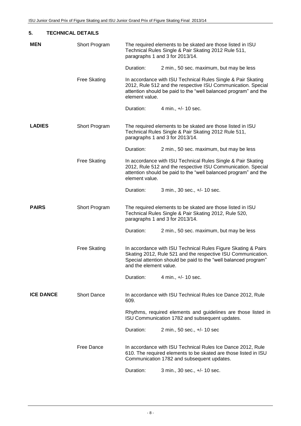| 5.<br><b>TECHNICAL DETAILS</b> |                     |                        |                                                                                                                                                                                                  |  |  |  |  |  |
|--------------------------------|---------------------|------------------------|--------------------------------------------------------------------------------------------------------------------------------------------------------------------------------------------------|--|--|--|--|--|
| <b>MEN</b>                     | Short Program       |                        | The required elements to be skated are those listed in ISU<br>Technical Rules Single & Pair Skating 2012 Rule 511,<br>paragraphs 1 and 3 for 2013/14.                                            |  |  |  |  |  |
|                                |                     | Duration:              | 2 min., 50 sec. maximum, but may be less                                                                                                                                                         |  |  |  |  |  |
|                                | <b>Free Skating</b> | element value.         | In accordance with ISU Technical Rules Single & Pair Skating<br>2012, Rule 512 and the respective ISU Communication. Special<br>attention should be paid to the "well balanced program" and the  |  |  |  |  |  |
|                                |                     | Duration:              | 4 min., +/- 10 sec.                                                                                                                                                                              |  |  |  |  |  |
| <b>LADIES</b>                  | Short Program       |                        | The required elements to be skated are those listed in ISU<br>Technical Rules Single & Pair Skating 2012 Rule 511,<br>paragraphs 1 and 3 for 2013/14.                                            |  |  |  |  |  |
|                                |                     | Duration:              | 2 min., 50 sec. maximum, but may be less                                                                                                                                                         |  |  |  |  |  |
|                                | <b>Free Skating</b> | element value.         | In accordance with ISU Technical Rules Single & Pair Skating<br>2012, Rule 512 and the respective ISU Communication. Special<br>attention should be paid to the "well balanced program" and the  |  |  |  |  |  |
|                                |                     | Duration:              | 3 min., 30 sec., +/- 10 sec.                                                                                                                                                                     |  |  |  |  |  |
| <b>PAIRS</b>                   | Short Program       |                        | The required elements to be skated are those listed in ISU<br>Technical Rules Single & Pair Skating 2012, Rule 520,<br>paragraphs 1 and 3 for 2013/14.                                           |  |  |  |  |  |
|                                |                     | Duration:              | 2 min., 50 sec. maximum, but may be less                                                                                                                                                         |  |  |  |  |  |
|                                | <b>Free Skating</b> | and the element value. | In accordance with ISU Technical Rules Figure Skating & Pairs<br>Skating 2012, Rule 521 and the respective ISU Communication.<br>Special attention should be paid to the "well balanced program" |  |  |  |  |  |
|                                |                     | Duration:              | 4 min., +/- 10 sec.                                                                                                                                                                              |  |  |  |  |  |
| <b>ICE DANCE</b>               | <b>Short Dance</b>  | 609.                   | In accordance with ISU Technical Rules Ice Dance 2012, Rule                                                                                                                                      |  |  |  |  |  |
|                                |                     |                        | Rhythms, required elements and guidelines are those listed in<br>ISU Communication 1782 and subsequent updates.                                                                                  |  |  |  |  |  |
|                                |                     | Duration:              | 2 min., 50 sec., +/- 10 sec                                                                                                                                                                      |  |  |  |  |  |
|                                | <b>Free Dance</b>   |                        | In accordance with ISU Technical Rules Ice Dance 2012, Rule<br>610. The required elements to be skated are those listed in ISU<br>Communication 1782 and subsequent updates.                     |  |  |  |  |  |
|                                |                     | Duration:              | 3 min., 30 sec., +/- 10 sec.                                                                                                                                                                     |  |  |  |  |  |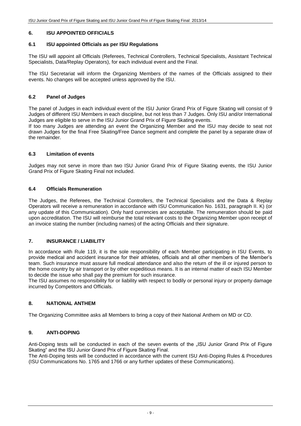#### **6. ISU APPOINTED OFFICIALS**

#### **6.1 ISU appointed Officials as per ISU Regulations**

The ISU will appoint all Officials (Referees, Technical Controllers, Technical Specialists, Assistant Technical Specialists, Data/Replay Operators), for each individual event and the Final.

The ISU Secretariat will inform the Organizing Members of the names of the Officials assigned to their events. No changes will be accepted unless approved by the ISU.

#### **6.2 Panel of Judges**

The panel of Judges in each individual event of the ISU Junior Grand Prix of Figure Skating will consist of 9 Judges of different ISU Members in each discipline, but not less than 7 Judges. Only ISU and/or International Judges are eligible to serve in the ISU Junior Grand Prix of Figure Skating events.

If too many Judges are attending an event the Organizing Member and the ISU may decide to seat not drawn Judges for the final Free Skating/Free Dance segment and complete the panel by a separate draw of the remainder.

#### **6.3 Limitation of events**

Judges may not serve in more than two ISU Junior Grand Prix of Figure Skating events, the ISU Junior Grand Prix of Figure Skating Final not included.

#### **6.4 Officials Remuneration**

The Judges, the Referees, the Technical Controllers, the Technical Specialists and the Data & Replay Operators will receive a remuneration in accordance with ISU Communication No. 1631, paragraph II. K) (or any update of this Communication). Only hard currencies are acceptable. The remuneration should be paid upon accreditation. The ISU will reimburse the total relevant costs to the Organizing Member upon receipt of an invoice stating the number (including names) of the acting Officials and their signature.

#### **7. INSURANCE / LIABILITY**

In accordance with Rule 119, it is the sole responsibility of each Member participating in ISU Events, to provide medical and accident insurance for their athletes, officials and all other members of the Member's team. Such insurance must assure full medical attendance and also the return of the ill or injured person to the home country by air transport or by other expeditious means. It is an internal matter of each ISU Member to decide the issue who shall pay the premium for such insurance.

The ISU assumes no responsibility for or liability with respect to bodily or personal injury or property damage incurred by Competitors and Officials.

#### **8. NATIONAL ANTHEM**

The Organizing Committee asks all Members to bring a copy of their National Anthem on MD or CD.

#### **9. ANTI-DOPING**

Anti-Doping tests will be conducted in each of the seven events of the "ISU Junior Grand Prix of Figure Skating" and the ISU Junior Grand Prix of Figure Skating Final.

The Anti-Doping tests will be conducted in accordance with the current ISU Anti-Doping Rules & Procedures (ISU Communications No. 1765 and 1766 or any further updates of these Communications).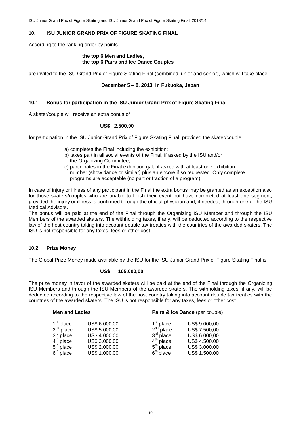#### **10. ISU JUNIOR GRAND PRIX OF FIGURE SKATING FINAL**

According to the ranking order by points

#### **the top 6 Men and Ladies, the top 6 Pairs and Ice Dance Couples**

are invited to the ISU Grand Prix of Figure Skating Final (combined junior and senior), which will take place

#### **December 5 – 8, 2013, in Fukuoka, Japan**

#### **10.1 Bonus for participation in the ISU Junior Grand Prix of Figure Skating Final**

A skater/couple will receive an extra bonus of

#### **US\$ 2.500,00**

for participation in the ISU Junior Grand Prix of Figure Skating Final, provided the skater/couple

- a) completes the Final including the exhibition;
- b) takes part in all social events of the Final, if asked by the ISU and/or the Organizing Committee;
- c) participates in the Final exhibition gala if asked with at least one exhibition number (show dance or similar) plus an encore if so requested. Only complete programs are acceptable (no part or fraction of a program).

In case of injury or illness of any participant in the Final the extra bonus may be granted as an exception also for those skaters/couples who are unable to finish their event but have completed at least one segment, provided the injury or illness is confirmed through the official physician and, if needed, through one of the ISU Medical Advisors.

The bonus will be paid at the end of the Final through the Organizing ISU Member and through the ISU Members of the awarded skaters. The withholding taxes, if any, will be deducted according to the respective law of the host country taking into account double tax treaties with the countries of the awarded skaters. The ISU is not responsible for any taxes, fees or other cost.

#### **10.2 Prize Money**

The Global Prize Money made available by the ISU for the ISU Junior Grand Prix of Figure Skating Final is

#### **US\$ 105.000,00**

The prize money in favor of the awarded skaters will be paid at the end of the Final through the Organizing ISU Members and through the ISU Members of the awarded skaters. The withholding taxes, if any, will be deducted according to the respective law of the host country taking into account double tax treaties with the countries of the awarded skaters. The ISU is not responsible for any taxes, fees or other cost.

| <b>Men and Ladies</b>                                                                            |                                                                                                    |                                                                                                  | Pairs & Ice Dance (per couple)                                                                     |
|--------------------------------------------------------------------------------------------------|----------------------------------------------------------------------------------------------------|--------------------------------------------------------------------------------------------------|----------------------------------------------------------------------------------------------------|
| $1st$ place<br>2 <sup>nd</sup> place<br>$3rd$ place<br>$4th$ place<br>$5th$ place<br>$6th$ place | US\$ 6.000,00<br>US\$ 5.000,00<br>US\$ 4.000,00<br>US\$ 3.000,00<br>US\$ 2.000,00<br>US\$ 1.000,00 | 1 <sup>st</sup> place<br>$2nd$ place<br>$3rd$ place<br>$4th$ place<br>$5th$ place<br>$6th$ place | US\$ 9.000,00<br>US\$ 7.500,00<br>US\$ 6.000,00<br>US\$ 4.500,00<br>US\$ 3.000,00<br>US\$ 1.500,00 |
|                                                                                                  |                                                                                                    |                                                                                                  |                                                                                                    |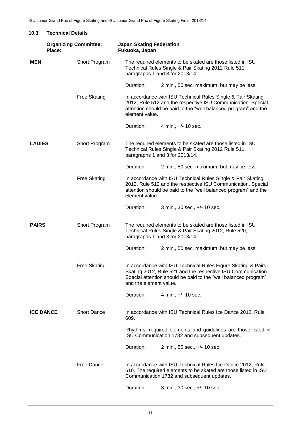| 10.3             | <b>Technical Details</b>               |                     |                                                                                                                                                                                                                   |                                                                                                                                                                                                  |  |  |  |
|------------------|----------------------------------------|---------------------|-------------------------------------------------------------------------------------------------------------------------------------------------------------------------------------------------------------------|--------------------------------------------------------------------------------------------------------------------------------------------------------------------------------------------------|--|--|--|
|                  | <b>Organizing Committee:</b><br>Place: |                     | <b>Japan Skating Federation</b><br>Fukuoka, Japan                                                                                                                                                                 |                                                                                                                                                                                                  |  |  |  |
| MEN              |                                        | Short Program       | The required elements to be skated are those listed in ISU<br>Technical Rules Single & Pair Skating 2012 Rule 511,<br>paragraphs 1 and 3 for 2013/14.                                                             |                                                                                                                                                                                                  |  |  |  |
|                  |                                        |                     | Duration:                                                                                                                                                                                                         | 2 min., 50 sec. maximum, but may be less                                                                                                                                                         |  |  |  |
|                  |                                        | <b>Free Skating</b> | element value.                                                                                                                                                                                                    | In accordance with ISU Technical Rules Single & Pair Skating<br>2012, Rule 512 and the respective ISU Communication. Special<br>attention should be paid to the "well balanced program" and the  |  |  |  |
|                  |                                        |                     | Duration:                                                                                                                                                                                                         | 4 min., +/- 10 sec.                                                                                                                                                                              |  |  |  |
| <b>LADIES</b>    |                                        | Short Program       |                                                                                                                                                                                                                   | The required elements to be skated are those listed in ISU<br>Technical Rules Single & Pair Skating 2012 Rule 511,<br>paragraphs 1 and 3 for 2013/14.                                            |  |  |  |
|                  |                                        |                     | Duration:                                                                                                                                                                                                         | 2 min., 50 sec. maximum, but may be less                                                                                                                                                         |  |  |  |
|                  |                                        | <b>Free Skating</b> | In accordance with ISU Technical Rules Single & Pair Skating<br>2012, Rule 512 and the respective ISU Communication. Special<br>attention should be paid to the "well balanced program" and the<br>element value. |                                                                                                                                                                                                  |  |  |  |
|                  |                                        |                     | Duration:                                                                                                                                                                                                         | 3 min., 30 sec., +/- 10 sec.                                                                                                                                                                     |  |  |  |
| <b>PAIRS</b>     |                                        | Short Program       |                                                                                                                                                                                                                   | The required elements to be skated are those listed in ISU<br>Technical Rules Single & Pair Skating 2012, Rule 520,<br>paragraphs 1 and 3 for 2013/14.                                           |  |  |  |
|                  |                                        |                     | Duration:                                                                                                                                                                                                         | 2 min., 50 sec. maximum, but may be less                                                                                                                                                         |  |  |  |
|                  |                                        | <b>Free Skating</b> | and the element value.                                                                                                                                                                                            | In accordance with ISU Technical Rules Figure Skating & Pairs<br>Skating 2012, Rule 521 and the respective ISU Communication.<br>Special attention should be paid to the "well balanced program" |  |  |  |
|                  |                                        |                     | Duration:                                                                                                                                                                                                         | 4 min., +/- 10 sec.                                                                                                                                                                              |  |  |  |
| <b>ICE DANCE</b> |                                        | <b>Short Dance</b>  | 609.                                                                                                                                                                                                              | In accordance with ISU Technical Rules Ice Dance 2012, Rule                                                                                                                                      |  |  |  |
|                  |                                        |                     |                                                                                                                                                                                                                   | Rhythms, required elements and guidelines are those listed in<br>ISU Communication 1782 and subsequent updates.                                                                                  |  |  |  |
|                  |                                        |                     | Duration:                                                                                                                                                                                                         | 2 min., 50 sec., +/- 10 sec                                                                                                                                                                      |  |  |  |
|                  |                                        | Free Dance          |                                                                                                                                                                                                                   | In accordance with ISU Technical Rules Ice Dance 2012, Rule<br>610. The required elements to be skated are those listed in ISU<br>Communication 1782 and subsequent updates.                     |  |  |  |
|                  |                                        |                     | Duration:                                                                                                                                                                                                         | 3 min., 30 sec., +/- 10 sec.                                                                                                                                                                     |  |  |  |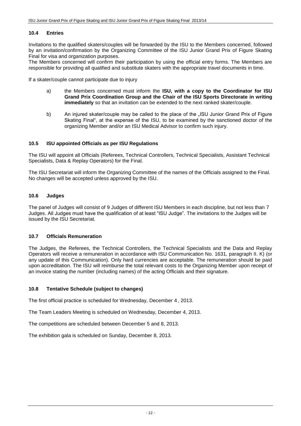#### **10.4 Entries**

Invitations to the qualified skaters/couples will be forwarded by the ISU to the Members concerned, followed by an invitation/confirmation by the Organizing Committee of the ISU Junior Grand Prix of Figure Skating Final for visa and organization purposes.

The Members concerned will confirm their participation by using the official entry forms. The Members are responsible for providing all qualified and substitute skaters with the appropriate travel documents in time.

If a skater/couple cannot participate due to injury

- a) the Members concerned must inform the **ISU, with a copy to the Coordinator for ISU Grand Prix Coordination Group and the Chair of the ISU Sports Directorate in writing immediately** so that an invitation can be extended to the next ranked skater/couple.
- b) An injured skater/couple may be called to the place of the "ISU Junior Grand Prix of Figure Skating Final", at the expense of the ISU, to be examined by the sanctioned doctor of the organizing Member and/or an ISU Medical Advisor to confirm such injury.

#### **10.5 ISU appointed Officials as per ISU Regulations**

The ISU will appoint all Officials (Referees, Technical Controllers, Technical Specialists, Assistant Technical Specialists, Data & Replay Operators) for the Final.

The ISU Secretariat will inform the Organizing Committee of the names of the Officials assigned to the Final. No changes will be accepted unless approved by the ISU.

#### **10.6 Judges**

The panel of Judges will consist of 9 Judges of different ISU Members in each discipline, but not less than 7 Judges. All Judges must have the qualification of at least "ISU Judge". The invitations to the Judges will be issued by the ISU Secretariat.

#### **10.7 Officials Remuneration**

The Judges, the Referees, the Technical Controllers, the Technical Specialists and the Data and Replay Operators will receive a remuneration in accordance with ISU Communication No. 1631, paragraph II. K) (or any update of this Communication). Only hard currencies are acceptable. The remuneration should be paid upon accreditation. The ISU will reimburse the total relevant costs to the Organizing Member upon receipt of an invoice stating the number (including names) of the acting Officials and their signature.

#### **10.8 Tentative Schedule (subject to changes)**

The first official practice is scheduled for Wednesday, December 4 , 2013.

The Team Leaders Meeting is scheduled on Wednesday, December 4, 2013.

The competitions are scheduled between December 5 and 8, 2013.

The exhibition gala is scheduled on Sunday, December 8, 2013.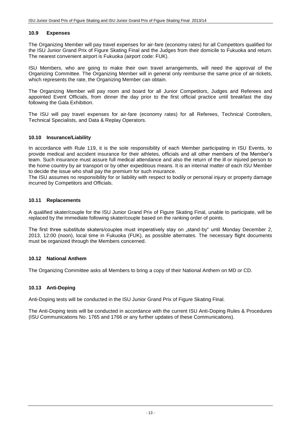#### **10.9 Expenses**

The Organizing Member will pay travel expenses for air-fare (economy rates) for all Competitors qualified for the ISU Junior Grand Prix of Figure Skating Final and the Judges from their domicile to Fukuoka and return. The nearest convenient airport is Fukuoka (airport code: FUK).

ISU Members, who are going to make their own travel arrangements, will need the approval of the Organizing Committee. The Organizing Member will in general only reimburse the same price of air-tickets, which represents the rate, the Organizing Member can obtain.

The Organizing Member will pay room and board for all Junior Competitors, Judges and Referees and appointed Event Officials, from dinner the day prior to the first official practice until breakfast the day following the Gala Exhibition.

The ISU will pay travel expenses for air-fare (economy rates) for all Referees, Technical Controllers, Technical Specialists, and Data & Replay Operators.

#### **10.10 Insurance/Liability**

In accordance with Rule 119, it is the sole responsibility of each Member participating in ISU Events, to provide medical and accident insurance for their athletes, officials and all other members of the Member's team. Such insurance must assure full medical attendance and also the return of the ill or injured person to the home country by air transport or by other expeditious means. It is an internal matter of each ISU Member to decide the issue who shall pay the premium for such insurance.

The ISU assumes no responsibility for or liability with respect to bodily or personal injury or property damage incurred by Competitors and Officials.

#### **10.11 Replacements**

A qualified skater/couple for the ISU Junior Grand Prix of Figure Skating Final, unable to participate, will be replaced by the immediate following skater/couple based on the ranking order of points.

The first three substitute skaters/couples must imperatively stay on "stand-by" until Monday December 2, 2013, 12:00 (noon), local time in Fukuoka (FUK), as possible alternates. The necessary flight documents must be organized through the Members concerned.

#### **10.12 National Anthem**

The Organizing Committee asks all Members to bring a copy of their National Anthem on MD or CD.

#### **10.13 Anti-Doping**

Anti-Doping tests will be conducted in the ISU Junior Grand Prix of Figure Skating Final.

The Anti-Doping tests will be conducted in accordance with the current ISU Anti-Doping Rules & Procedures (ISU Communications No. 1765 and 1766 or any further updates of these Communications).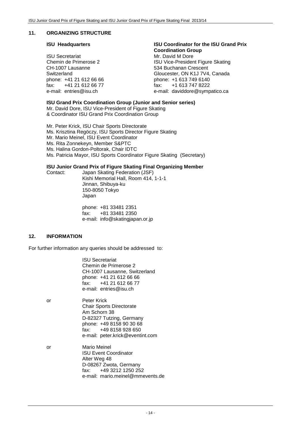#### **11. ORGANIZING STRUCTURE**

ISU Secretariat Mr. David M Dore<br>
Chemin de Primerose 2 (ISU Vice-Presider CH-1007 Lausanne 534 Buchanan Crescent fax:  $+41$  21 612 66 77 fax: fax:  $+41$  612 66 77 fax:  $+1$  fax:  $+1$ 

#### **ISU Headquarters ISU Coordinator for the ISU Grand Prix Coordination Group**

ISU Vice-President Figure Skating Switzerland Gloucester, ON K1J 7V4, Canada phone: +1 613 749 6140<br>fax: +1 613 747 8222 e-mail: daviddore@sympatico.ca

**ISU Grand Prix Coordination Group (Junior and Senior series)**

Mr. David Dore, ISU Vice-President of Figure Skating & Coordinator ISU Grand Prix Coordination Group

Mr. Peter Krick, ISU Chair Sports Directorate Ms. Krisztina Regöczy, ISU Sports Director Figure Skating Mr. Mario Meinel, ISU Event Coordinator Ms. Rita Zonnekeyn, Member S&PTC Ms. Halina Gordon-Poltorak, Chair IDTC Ms. Patricia Mayor, ISU Sports Coordinator Figure Skating (Secretary)

#### **ISU Junior Grand Prix of Figure Skating Final Organizing Member**

Contact: Japan Skating Federation (JSF) Kishi Memorial Hall, Room 414, 1-1-1 Jinnan, Shibuya-ku 150-8050 Tokyo Japan

> phone: +81 33481 2351 fax: +81 33481 2350 e-mail: info@skatingjapan.or.jp

#### **12. INFORMATION**

For further information any queries should be addressed to:

ISU Secretariat Chemin de Primerose 2 CH-1007 Lausanne, Switzerland phone: +41 21 612 66 66 fax: +41 21 612 66 77 e-mail: entries@isu.ch

- or Peter Krick Chair Sports Directorate Am Schorn 38 D-82327 Tutzing, Germany phone: +49 8158 90 30 68 fax: +49 8158 928 650 e-mail: [peter.krick@eventint.com](mailto:peter.krick@eventint.com)
- or Mario Meinel ISU Event Coordinator Alter Weg 48 D-08267 Zwota, Germany fax: +49 3212 1250 252 e-mail: mario.meinel@mmevents.de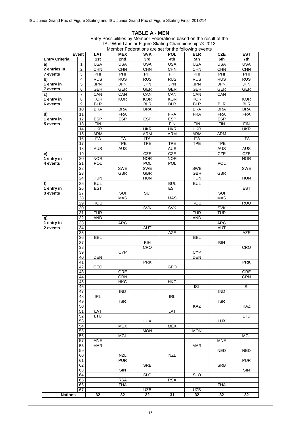#### **TABLE A - MEN**

|                       | Event                 | <b>LAT</b>               | monipor i caciadorio dio cottion dio rollo ming ovonto<br><b>MEX</b> | <b>SVK</b>        | <b>POL</b>               | <b>BLR</b>               | <b>CZE</b>        | <b>EST</b>               |
|-----------------------|-----------------------|--------------------------|----------------------------------------------------------------------|-------------------|--------------------------|--------------------------|-------------------|--------------------------|
| <b>Entry Criteria</b> |                       | 1st                      | 2nd                                                                  | 3rd               | 4th                      | 5th                      | 6th               | 7th                      |
| a)                    | $\mathbf{1}$          | <b>USA</b>               | <b>USA</b>                                                           | <b>USA</b>        | <b>USA</b>               | <b>USA</b>               | <b>USA</b>        | <b>USA</b>               |
| 2 entries in          | $\boldsymbol{2}$      | <b>CHN</b>               | CHN                                                                  | <b>CHN</b>        | <b>CHN</b>               | <b>CHN</b>               | <b>CHN</b>        | CHN                      |
| 7 events              | 3<br>$\overline{4}$   | PHI<br>RUS               | PHI<br>RUS                                                           | PHI<br>RUS        | PHI<br>RUS               | PHI<br>RUS               | PHI<br><b>RUS</b> | PHI<br><b>RUS</b>        |
| b)<br>1 entry in      | $\overline{5}$        | <b>JPN</b>               | <b>JPN</b>                                                           | <b>JPN</b>        | <b>JPN</b>               | <b>JPN</b>               | <b>JPN</b>        | <b>JPN</b>               |
| 7 events              | 6                     | GER                      | GER                                                                  | GER               | GER                      | GER                      | <b>GER</b>        | GER                      |
| c)                    | $\overline{7}$        | CAN                      | CAN                                                                  | CAN               | CAN                      | CAN                      | CAN               |                          |
| 1 entry in            | 8                     | KOR                      | <b>KOR</b>                                                           | KOR               | KOR                      | KOR                      |                   | KOR                      |
| 6 events              | $\overline{9}$        | <b>BLR</b>               |                                                                      | <b>BLR</b>        | BLR                      | <b>BLR</b>               | <b>BLR</b>        | <b>BLR</b>               |
|                       | 10                    | <b>BRA</b>               | <b>BRA</b>                                                           | <b>BRA</b>        |                          | <b>BRA</b>               | <b>BRA</b>        | <b>BRA</b>               |
| d)                    | 11                    |                          | <b>FRA</b>                                                           |                   | <b>FRA</b>               | <b>FRA</b>               | <b>FRA</b>        | <b>FRA</b>               |
| 1 entry in            | $\overline{12}$       | <b>ESP</b>               | <b>ESP</b>                                                           | <b>ESP</b>        | <b>ESP</b>               |                          | <b>ESP</b>        |                          |
| 5 events              | 13<br>14              | <b>FIN</b><br><b>UKR</b> |                                                                      |                   | FIN                      | FIN<br><b>UKR</b>        | <b>FIN</b>        | <b>FIN</b><br><b>UKR</b> |
|                       | 15                    | ARM                      |                                                                      | <b>UKR</b><br>ARM | <b>UKR</b><br><b>ARM</b> | ARM                      | <b>ARM</b>        |                          |
|                       | 16                    | <b>ITA</b>               | <b>ITA</b>                                                           | <b>ITA</b>        |                          | <b>ITA</b>               |                   | <b>ITA</b>               |
|                       | $\overline{17}$       |                          | <b>TPE</b>                                                           | <b>TPE</b>        | <b>TPE</b>               | <b>TPE</b>               | <b>TPE</b>        |                          |
|                       | 18                    | AUS                      | <b>AUS</b>                                                           |                   | <b>AUS</b>               |                          | AUS               | <b>AUS</b>               |
| e)                    | 19                    |                          |                                                                      | CZE               | CZE                      |                          | <b>CZE</b>        | CZE                      |
| 1 entry in            | 20                    | <b>NOR</b>               |                                                                      | <b>NOR</b>        | <b>NOR</b>               |                          |                   | <b>NOR</b>               |
| 4 events              | 21                    | <b>POL</b>               |                                                                      | <b>POL</b>        | <b>POL</b>               |                          | <b>POL</b>        |                          |
|                       | 22                    |                          | <b>SWE</b>                                                           | <b>SWE</b>        |                          | <b>SWE</b>               |                   | <b>SWE</b>               |
|                       | 23                    |                          | <b>GBR</b>                                                           | <b>GBR</b>        |                          | <b>GBR</b>               | <b>GBR</b>        |                          |
|                       | 24                    | <b>HUN</b><br><b>BUL</b> |                                                                      | <b>HUN</b>        | <b>BUL</b>               | <b>HUN</b><br><b>BUL</b> |                   | <b>HUN</b>               |
| f)<br>1 entry in      | 25<br>26              | <b>EST</b>               |                                                                      |                   | <b>EST</b>               |                          |                   | <b>EST</b>               |
| 3 events              | 27                    |                          | SUI                                                                  | <b>SUI</b>        |                          |                          | <b>SUI</b>        |                          |
|                       | $\overline{28}$       |                          | <b>MAS</b>                                                           |                   | <b>MAS</b>               |                          | <b>MAS</b>        |                          |
|                       | 29                    | <b>ROU</b>               |                                                                      |                   |                          | <b>ROU</b>               |                   | <b>ROU</b>               |
|                       | 30                    |                          |                                                                      | <b>SVK</b>        | <b>SVK</b>               |                          | <b>SVK</b>        |                          |
|                       | $\overline{31}$       | <b>TUR</b>               |                                                                      |                   |                          | <b>TUR</b>               | <b>TUR</b>        |                          |
| g)                    | $\overline{32}$       | <b>AND</b>               |                                                                      |                   |                          | <b>AND</b>               |                   |                          |
| 1 entry in            | 33                    |                          | ARG                                                                  |                   |                          |                          | ARG               |                          |
| 2 events              | $\overline{34}$<br>35 |                          |                                                                      | <b>AUT</b>        | AZE                      |                          | <b>AUT</b>        | AZE                      |
|                       | $\overline{36}$       | <b>BEL</b>               |                                                                      |                   |                          | <b>BEL</b>               |                   |                          |
|                       | $\overline{37}$       |                          |                                                                      | BIH               |                          |                          | B <sub>H</sub>    |                          |
|                       | $\overline{38}$       |                          |                                                                      | CRO               |                          |                          |                   | CRO                      |
|                       | 39                    |                          | <b>CYP</b>                                                           |                   |                          | <b>CYP</b>               |                   |                          |
|                       | 40                    | <b>DEN</b>               |                                                                      |                   |                          | <b>DEN</b>               |                   |                          |
|                       | 41                    |                          |                                                                      | <b>PRK</b>        |                          |                          |                   | <b>PRK</b>               |
|                       | 42<br>43              | <b>GEO</b>               | <b>GRE</b>                                                           |                   | <b>GEO</b>               |                          |                   |                          |
|                       | 44                    |                          | GRN                                                                  |                   |                          |                          |                   | GRE<br>GRN               |
|                       | 45                    |                          | <b>HKG</b>                                                           |                   | <b>HKG</b>               |                          |                   |                          |
|                       | 46                    |                          |                                                                      |                   |                          | <b>ISL</b>               |                   | <b>ISL</b>               |
|                       | 47                    |                          | $\overline{IND}$                                                     |                   |                          |                          | <b>IND</b>        |                          |
|                       | 48                    | <b>IRL</b>               |                                                                      |                   | <b>IRL</b>               |                          |                   |                          |
|                       | 49                    |                          | <b>ISR</b>                                                           |                   |                          |                          | <b>ISR</b>        |                          |
|                       | 50                    |                          |                                                                      |                   |                          | KAZ                      |                   | KAZ                      |
|                       | 51<br>52              | LAT<br>LTU               |                                                                      |                   | LAT                      |                          |                   | LTU                      |
|                       | 53                    |                          |                                                                      | <b>LUX</b>        |                          |                          | <b>LUX</b>        |                          |
|                       | 54                    |                          | <b>MEX</b>                                                           |                   | <b>MEX</b>               |                          |                   |                          |
|                       | 55                    |                          |                                                                      | <b>MON</b>        |                          | <b>MON</b>               |                   |                          |
|                       | 56                    |                          | <b>MGL</b>                                                           |                   |                          |                          |                   | <b>MGL</b>               |
|                       | 57                    | <b>MNE</b>               |                                                                      |                   |                          |                          | <b>MNE</b>        |                          |
|                       | 58                    | <b>MAR</b>               |                                                                      |                   |                          | <b>MAR</b>               |                   |                          |
|                       | 59<br>60              |                          | <b>NZL</b>                                                           |                   | <b>NZL</b>               |                          | <b>NED</b>        | <b>NED</b>               |
|                       | 61                    |                          | <b>PUR</b>                                                           |                   |                          |                          |                   | <b>PUR</b>               |
|                       | 62                    |                          |                                                                      | <b>SRB</b>        |                          |                          | <b>SRB</b>        |                          |
|                       | 63                    |                          | SIN                                                                  |                   |                          |                          |                   | SIN                      |
|                       | 64                    |                          |                                                                      | <b>SLO</b>        |                          | <b>SLO</b>               |                   |                          |
|                       | 65                    |                          | <b>RSA</b>                                                           |                   | <b>RSA</b>               |                          |                   |                          |
|                       | 66                    |                          | <b>THA</b>                                                           |                   |                          |                          | <b>THA</b>        |                          |
|                       | 67                    |                          |                                                                      | <b>UZB</b>        |                          | UZB                      |                   |                          |
| <b>Nations</b>        |                       | 32                       | $\overline{32}$                                                      | 32                | 31                       | 32                       | 32                | 32                       |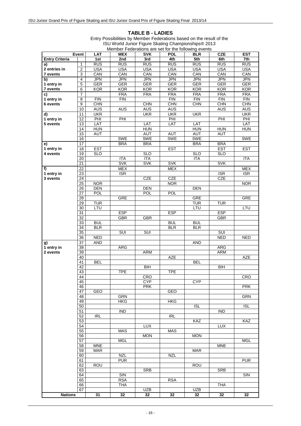#### **TABLE B - LADIES**

|                       | Event                 | LAT        | <b>MEX</b>               | <b>SVK</b>        | <b>POL</b>        | <b>BLR</b> | <b>CZE</b>      | <b>EST</b> |
|-----------------------|-----------------------|------------|--------------------------|-------------------|-------------------|------------|-----------------|------------|
| <b>Entry Criteria</b> |                       | 1st        | 2nd                      | 3rd               | 4th               | 5th        | 6th             | 7th        |
| a)                    | $\mathbf{1}$          | RUS        | RUS                      | RUS               | <b>RUS</b>        | RUS        | RUS             | <b>RUS</b> |
| 2 entries in          | $\overline{2}$        | <b>USA</b> | <b>USA</b>               | <b>USA</b>        | <b>USA</b>        | <b>USA</b> | <b>USA</b>      | <b>USA</b> |
| 7 events              | 3                     | CAN        | CAN                      | CAN               | CAN               | CAN        | CAN             | CAN        |
| b)                    | $\overline{4}$        | <b>JPN</b> | <b>JPN</b>               | <b>JPN</b>        | <b>JPN</b>        | <b>JPN</b> | <b>JPN</b>      | <b>JPN</b> |
| 1 entry in            | $\mathbf 5$           | <b>GER</b> | <b>GER</b>               | <b>GER</b>        | <b>GER</b>        | <b>GER</b> | <b>GER</b>      | <b>GER</b> |
| 7 events              | $\,6$                 | <b>KOR</b> | <b>KOR</b>               | <b>KOR</b>        | <b>KOR</b>        | <b>KOR</b> | <b>KOR</b>      | <b>KOR</b> |
| c)                    | $\overline{7}$        |            | <b>FRA</b>               | <b>FRA</b>        | <b>FRA</b>        | <b>FRA</b> | <b>FRA</b>      | <b>FRA</b> |
| 1 entry in            | 8                     | <b>FIN</b> | <b>FIN</b>               |                   | <b>FIN</b>        | FIN        | FIN             | FIN        |
| 6 events              | 9                     | <b>CHN</b> |                          | <b>CHN</b>        | <b>CHN</b>        | CHN        | <b>CHN</b>      | <b>CHN</b> |
|                       | 10                    | <b>AUS</b> | AUS                      | <b>AUS</b>        | <b>AUS</b>        |            | <b>AUS</b>      | <b>AUS</b> |
| d)                    | 11                    | <b>UKR</b> |                          | <b>UKR</b>        | <b>UKR</b>        | <b>UKR</b> |                 | <b>UKR</b> |
| 1 entry in            | $\overline{12}$       | PHI        | PHI                      |                   | PHI               |            | PHI             | PHI        |
| 5 events              | 13                    | LAT        |                          | LAT               | LAT               | LAT        |                 | LAT        |
|                       | 14                    | <b>HUN</b> |                          | <b>HUN</b>        |                   | <b>HUN</b> | <b>HUN</b>      | <b>HUN</b> |
|                       | 15                    | AUT        |                          | AUT               | AUT               | AUT        | AUT             |            |
|                       | 16                    |            | SWE                      | SWE               | <b>SWE</b>        | SWE        |                 | SWE        |
| e)                    | $\overline{17}$       |            | <b>BRA</b>               | <b>BRA</b>        |                   | <b>BRA</b> | <b>BRA</b>      |            |
| 1 entry in            | 18                    | <b>EST</b> |                          |                   | <b>EST</b>        |            | <b>EST</b>      | <b>EST</b> |
| 4 events              | 19                    | SLO        |                          | <b>SLO</b>        |                   | <b>SLO</b> | <b>SLO</b>      |            |
|                       | $\overline{20}$       |            | <b>ITA</b>               | <b>ITA</b>        |                   | <b>ITA</b> |                 | <b>ITA</b> |
|                       | 21                    |            | <b>SVK</b>               | <b>SVK</b>        | <b>SVK</b>        |            | <b>SVK</b>      |            |
| f)                    | 22                    |            | <b>MEX</b>               |                   | <b>MEX</b>        |            |                 | <b>MEX</b> |
| 1 entry in            | 23                    |            | <b>ISR</b>               |                   |                   |            | <b>ISR</b>      | <b>ISR</b> |
| 3 events              | 24<br>$\overline{25}$ | <b>NOR</b> |                          | <b>CZE</b>        | CZE<br><b>NOR</b> |            | CZE             | <b>NOR</b> |
|                       | 26                    | DEN        |                          | <b>DEN</b>        |                   | DEN        |                 |            |
|                       | 27                    | POL        |                          | POL               | <b>POL</b>        |            |                 |            |
|                       | $\overline{28}$       |            | <b>GRE</b>               |                   |                   | <b>GRE</b> |                 | <b>GRE</b> |
|                       | 29                    | <b>TUR</b> |                          |                   |                   | <b>TUR</b> | <b>TUR</b>      |            |
|                       | $\overline{30}$       | LTU        |                          |                   |                   | LTU        |                 | LTU        |
|                       | $\overline{31}$       |            | <b>ESP</b>               |                   | ESP               |            | <b>ESP</b>      |            |
|                       | 32                    |            | <b>GBR</b>               | GBR               |                   |            | <b>GBR</b>      |            |
|                       | 33                    | <b>BUL</b> |                          |                   | <b>BUL</b>        | <b>BUL</b> |                 |            |
|                       | 34                    | BLR        |                          |                   | <b>BLR</b>        | <b>BLR</b> |                 |            |
|                       | 35                    |            | SUI                      | SUI               |                   |            | SUI             |            |
|                       | 36                    | <b>NED</b> |                          |                   |                   |            | <b>NED</b>      | <b>NED</b> |
| g)                    | 37                    | AND        |                          |                   |                   | <b>AND</b> |                 |            |
| 1 entry in            | $\overline{38}$       |            | ARG                      |                   |                   |            | ARG             |            |
| 2 events              | $\overline{39}$       |            |                          | <b>ARM</b>        |                   |            | <b>ARM</b>      |            |
|                       | 40                    |            |                          |                   | <b>AZE</b>        |            |                 | <b>AZE</b> |
|                       | 41                    | <b>BEL</b> |                          |                   |                   | <b>BEL</b> |                 |            |
|                       | 42                    |            |                          | BIH               |                   |            | B <sub>II</sub> |            |
|                       | 43                    |            | <b>TPE</b>               |                   | <b>TPE</b>        |            |                 |            |
|                       | 44                    |            |                          | CRO               |                   |            |                 | CRO        |
|                       | 45<br>46              |            |                          | CYP<br><b>PRK</b> |                   | <b>CYP</b> |                 | <b>PRK</b> |
|                       | 47                    | GEO        |                          |                   | GEO               |            |                 |            |
|                       | 48                    |            | <b>GRN</b>               |                   |                   |            |                 | <b>GRN</b> |
|                       | 49                    |            | <b>HKG</b>               |                   | <b>HKG</b>        |            |                 |            |
|                       | 50                    |            |                          |                   |                   | <b>ISL</b> |                 | <b>ISL</b> |
|                       | 51                    |            | <b>IND</b>               |                   |                   |            | <b>IND</b>      |            |
|                       | 52                    | <b>IRL</b> |                          |                   | <b>IRL</b>        |            |                 |            |
|                       | 53                    |            |                          |                   |                   | KAZ        |                 | KAZ        |
|                       | 54                    |            |                          | <b>LUX</b>        |                   |            | <b>LUX</b>      |            |
|                       | $\overline{55}$       |            | <b>MAS</b>               |                   | MAS               |            |                 |            |
|                       | 56                    |            |                          | <b>MON</b>        |                   | <b>MON</b> |                 |            |
|                       | 57                    |            | <b>MGL</b>               |                   |                   |            |                 | <b>MGL</b> |
|                       | 58                    | <b>MNE</b> |                          |                   |                   |            | <b>MNE</b>      |            |
|                       | 59                    | <b>MAR</b> |                          |                   |                   | <b>MAR</b> |                 |            |
|                       | 60                    |            | <b>NZL</b><br><b>PUR</b> |                   | <b>NZL</b>        |            |                 | <b>PUR</b> |
|                       | 61                    |            |                          |                   |                   |            |                 |            |
|                       | 62<br>63              | <b>ROU</b> |                          | <b>SRB</b>        |                   | <b>ROU</b> | <b>SRB</b>      |            |
|                       | 64                    |            | SIN                      |                   |                   |            |                 | SIN        |
|                       | 65                    |            | <b>RSA</b>               |                   | <b>RSA</b>        |            |                 |            |
|                       | 66                    |            | <b>THA</b>               |                   |                   |            | <b>THA</b>      |            |
|                       | 67                    |            |                          | <b>UZB</b>        |                   | <b>UZB</b> |                 |            |
| <b>Nations</b>        |                       | 31         | 32                       | 32                | 32                | 32         | 32              | 32         |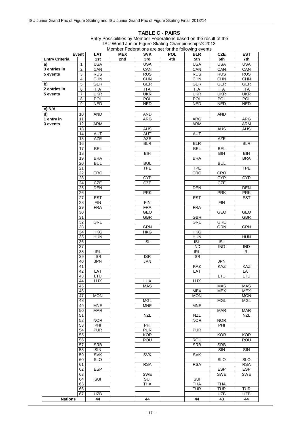#### **TABLE C - PAIRS**

| <b>USA</b><br><b>USA</b><br><b>USA</b><br><b>USA</b><br><b>USA</b><br>$\mathbf{1}$<br>a)<br>CAN<br>3 entries in<br>$\overline{c}$<br>CAN<br>CAN<br>CAN<br>CAN<br>3<br>5 events<br><b>RUS</b><br><b>RUS</b><br><b>RUS</b><br><b>RUS</b><br><b>RUS</b><br>CHN<br>$\overline{4}$<br><b>CHN</b><br><b>CHN</b><br>CHN<br>$rac{}{C}$ HN<br>$\overline{5}$<br>GER<br><b>GER</b><br><b>GER</b><br><b>GER</b><br>GER<br>b)<br>$\overline{6}$<br>2 entries in<br><b>ITA</b><br><b>ITA</b><br><b>ITA</b><br>ITA<br><b>ITA</b><br><b>UKR</b><br>$\overline{7}$<br><b>UKR</b><br><b>UKR</b><br><b>UKR</b><br><b>UKR</b><br>5 events<br>$\overline{8}$<br>POL<br>POL<br>POL<br><b>POL</b><br><b>POL</b><br>9<br><b>NED</b><br><b>NED</b><br><b>NED</b><br><b>NED</b><br><b>NED</b><br>c) N/A<br>10<br><b>AND</b><br><b>AND</b><br><b>AND</b><br>d)<br>1 entry in<br><b>ARG</b><br><b>ARG</b><br><b>ARG</b><br>11<br>3 events<br>$\overline{12}$<br><b>ARM</b><br><b>ARM</b><br>ARM<br>13<br><b>AUS</b><br><b>AUS</b><br>AUS<br>14<br>AUT<br><b>AUT</b><br>AUT<br><b>AZE</b><br>15<br><b>AZE</b><br><b>AZE</b><br>16<br><b>BLR</b><br><b>BLR</b><br><b>BLR</b><br>$\overline{17}$<br><b>BEL</b><br><b>BEL</b><br><b>BEL</b><br>18<br>$\overline{BH}$<br>BIH<br>BIH<br><b>BRA</b><br>19<br><b>BRA</b><br><b>BRA</b><br>$\overline{20}$<br><b>BUL</b><br><b>BUL</b><br><b>BUL</b><br>21<br><b>TPE</b><br><b>TPE</b><br><b>TPE</b><br>$\overline{22}$<br><b>CRO</b><br><b>CRO</b><br><b>CRO</b><br><b>CYP</b><br>23<br><b>CYP</b><br><b>CYP</b><br><b>CZE</b><br>$\overline{24}$<br><b>CZE</b><br><b>CZE</b><br>25<br><b>DEN</b><br><b>DEN</b><br><b>DEN</b><br>26<br><b>PRK</b><br><b>PRK</b><br><b>PRK</b><br>$\overline{27}$<br><b>EST</b><br><b>EST</b><br><b>EST</b><br>28<br><b>FIN</b><br><b>FIN</b><br><b>FIN</b><br>29<br><b>FRA</b><br><b>FRA</b><br><b>FRA</b><br><b>GEO</b><br>30<br>GEO<br>GEO<br>31<br>GBR<br>GBR<br>GBR<br><b>GRE</b><br>32<br>GRE<br>GRE<br>33<br><b>GRN</b><br><b>GRN</b><br>GRN<br>34<br><b>HKG</b><br><b>HKG</b><br><b>HKG</b><br>35<br><b>HUN</b><br><b>HUN</b><br><b>HUN</b><br>36<br><b>ISL</b><br><b>ISL</b><br><b>ISL</b><br>37<br><b>IND</b><br><b>IND</b><br><b>IND</b><br>R <sub>L</sub><br>IRL<br>R <sub>L</sub><br>38<br>39<br><b>ISR</b><br><b>ISR</b><br><b>ISR</b><br>40<br><b>JPN</b><br><b>JPN</b><br><b>JPN</b><br>KAZ<br>41<br>KAZ<br>KAZ<br>42<br>LAT<br>LAT<br>LAT<br>43<br>LTU<br>LTU<br>LTU<br><b>LUX</b><br><b>LUX</b><br><b>LUX</b><br>44<br>45<br><b>MAS</b><br><b>MAS</b><br><b>MAS</b><br><b>MEX</b><br>46<br><b>MEX</b><br><b>MEX</b><br>47<br><b>MON</b><br><b>MON</b><br><b>MON</b><br>48<br>MGL<br><b>MGL</b><br><b>MGL</b><br><b>MNE</b><br>49<br><b>MNE</b><br><b>MNE</b><br><b>MAR</b><br><b>MAR</b><br><b>MAR</b><br>50<br>51<br><b>NZL</b><br><b>NZL</b><br><b>NZL</b><br>52<br><b>NOR</b><br><b>NOR</b><br><b>NOR</b><br>$\overline{53}$<br>PHI<br>PHI<br>PHI<br>54<br><b>PUR</b><br><b>PUR</b><br><b>PUR</b><br>55<br><b>KOR</b><br><b>KOR</b><br><b>KOR</b><br><b>ROU</b><br>56<br>ROU<br>ROU<br>57<br><b>SRB</b><br><b>SRB</b><br><b>SRB</b><br>SIN<br>SIN<br>58<br>SIN<br><b>SVK</b><br><b>SVK</b><br><b>SVK</b><br>59<br><b>SLO</b><br><b>SLO</b><br><b>SLO</b><br>60<br><b>RSA</b><br><b>RSA</b><br><b>RSA</b><br>61<br><b>ESP</b><br><b>ESP</b><br>62<br><b>ESP</b><br>63<br>SWE<br><b>SWE</b><br><b>SWE</b><br>SUI<br>SUI<br>SUI<br>64<br>65<br><b>THA</b><br><b>THA</b><br><b>THA</b><br><b>TUR</b><br><b>TUR</b><br>TUR<br>66<br><b>UZB</b><br><b>UZB</b><br><b>UZB</b><br>67<br>44<br><b>Nations</b><br>44<br>44<br>43<br>44 |                       | Event | LAT | <b>MEX</b> | <b>SVK</b> | <b>POL</b> | <b>BLR</b> | <b>CZE</b> | <b>EST</b> |
|----------------------------------------------------------------------------------------------------------------------------------------------------------------------------------------------------------------------------------------------------------------------------------------------------------------------------------------------------------------------------------------------------------------------------------------------------------------------------------------------------------------------------------------------------------------------------------------------------------------------------------------------------------------------------------------------------------------------------------------------------------------------------------------------------------------------------------------------------------------------------------------------------------------------------------------------------------------------------------------------------------------------------------------------------------------------------------------------------------------------------------------------------------------------------------------------------------------------------------------------------------------------------------------------------------------------------------------------------------------------------------------------------------------------------------------------------------------------------------------------------------------------------------------------------------------------------------------------------------------------------------------------------------------------------------------------------------------------------------------------------------------------------------------------------------------------------------------------------------------------------------------------------------------------------------------------------------------------------------------------------------------------------------------------------------------------------------------------------------------------------------------------------------------------------------------------------------------------------------------------------------------------------------------------------------------------------------------------------------------------------------------------------------------------------------------------------------------------------------------------------------------------------------------------------------------------------------------------------------------------------------------------------------------------------------------------------------------------------------------------------------------------------------------------------------------------------------------------------------------------------------------------------------------------------------------------------------------------------------------------------------------------------------------------------------------------------------------------------------------------------------------------------------------------------------------------------------------------------------------------------------------------------------------------------------------------------------------------------------------------------------------------------------------------------------------------------------------------------------------------------------------------------------------------------------------------------------------------|-----------------------|-------|-----|------------|------------|------------|------------|------------|------------|
|                                                                                                                                                                                                                                                                                                                                                                                                                                                                                                                                                                                                                                                                                                                                                                                                                                                                                                                                                                                                                                                                                                                                                                                                                                                                                                                                                                                                                                                                                                                                                                                                                                                                                                                                                                                                                                                                                                                                                                                                                                                                                                                                                                                                                                                                                                                                                                                                                                                                                                                                                                                                                                                                                                                                                                                                                                                                                                                                                                                                                                                                                                                                                                                                                                                                                                                                                                                                                                                                                                                                                                                              | <b>Entry Criteria</b> |       | 1st | 2nd        | 3rd        | 4th        | 5th        | 6th        | 7th        |
|                                                                                                                                                                                                                                                                                                                                                                                                                                                                                                                                                                                                                                                                                                                                                                                                                                                                                                                                                                                                                                                                                                                                                                                                                                                                                                                                                                                                                                                                                                                                                                                                                                                                                                                                                                                                                                                                                                                                                                                                                                                                                                                                                                                                                                                                                                                                                                                                                                                                                                                                                                                                                                                                                                                                                                                                                                                                                                                                                                                                                                                                                                                                                                                                                                                                                                                                                                                                                                                                                                                                                                                              |                       |       |     |            |            |            |            |            |            |
|                                                                                                                                                                                                                                                                                                                                                                                                                                                                                                                                                                                                                                                                                                                                                                                                                                                                                                                                                                                                                                                                                                                                                                                                                                                                                                                                                                                                                                                                                                                                                                                                                                                                                                                                                                                                                                                                                                                                                                                                                                                                                                                                                                                                                                                                                                                                                                                                                                                                                                                                                                                                                                                                                                                                                                                                                                                                                                                                                                                                                                                                                                                                                                                                                                                                                                                                                                                                                                                                                                                                                                                              |                       |       |     |            |            |            |            |            |            |
|                                                                                                                                                                                                                                                                                                                                                                                                                                                                                                                                                                                                                                                                                                                                                                                                                                                                                                                                                                                                                                                                                                                                                                                                                                                                                                                                                                                                                                                                                                                                                                                                                                                                                                                                                                                                                                                                                                                                                                                                                                                                                                                                                                                                                                                                                                                                                                                                                                                                                                                                                                                                                                                                                                                                                                                                                                                                                                                                                                                                                                                                                                                                                                                                                                                                                                                                                                                                                                                                                                                                                                                              |                       |       |     |            |            |            |            |            |            |
|                                                                                                                                                                                                                                                                                                                                                                                                                                                                                                                                                                                                                                                                                                                                                                                                                                                                                                                                                                                                                                                                                                                                                                                                                                                                                                                                                                                                                                                                                                                                                                                                                                                                                                                                                                                                                                                                                                                                                                                                                                                                                                                                                                                                                                                                                                                                                                                                                                                                                                                                                                                                                                                                                                                                                                                                                                                                                                                                                                                                                                                                                                                                                                                                                                                                                                                                                                                                                                                                                                                                                                                              |                       |       |     |            |            |            |            |            |            |
|                                                                                                                                                                                                                                                                                                                                                                                                                                                                                                                                                                                                                                                                                                                                                                                                                                                                                                                                                                                                                                                                                                                                                                                                                                                                                                                                                                                                                                                                                                                                                                                                                                                                                                                                                                                                                                                                                                                                                                                                                                                                                                                                                                                                                                                                                                                                                                                                                                                                                                                                                                                                                                                                                                                                                                                                                                                                                                                                                                                                                                                                                                                                                                                                                                                                                                                                                                                                                                                                                                                                                                                              |                       |       |     |            |            |            |            |            |            |
|                                                                                                                                                                                                                                                                                                                                                                                                                                                                                                                                                                                                                                                                                                                                                                                                                                                                                                                                                                                                                                                                                                                                                                                                                                                                                                                                                                                                                                                                                                                                                                                                                                                                                                                                                                                                                                                                                                                                                                                                                                                                                                                                                                                                                                                                                                                                                                                                                                                                                                                                                                                                                                                                                                                                                                                                                                                                                                                                                                                                                                                                                                                                                                                                                                                                                                                                                                                                                                                                                                                                                                                              |                       |       |     |            |            |            |            |            |            |
|                                                                                                                                                                                                                                                                                                                                                                                                                                                                                                                                                                                                                                                                                                                                                                                                                                                                                                                                                                                                                                                                                                                                                                                                                                                                                                                                                                                                                                                                                                                                                                                                                                                                                                                                                                                                                                                                                                                                                                                                                                                                                                                                                                                                                                                                                                                                                                                                                                                                                                                                                                                                                                                                                                                                                                                                                                                                                                                                                                                                                                                                                                                                                                                                                                                                                                                                                                                                                                                                                                                                                                                              |                       |       |     |            |            |            |            |            |            |
|                                                                                                                                                                                                                                                                                                                                                                                                                                                                                                                                                                                                                                                                                                                                                                                                                                                                                                                                                                                                                                                                                                                                                                                                                                                                                                                                                                                                                                                                                                                                                                                                                                                                                                                                                                                                                                                                                                                                                                                                                                                                                                                                                                                                                                                                                                                                                                                                                                                                                                                                                                                                                                                                                                                                                                                                                                                                                                                                                                                                                                                                                                                                                                                                                                                                                                                                                                                                                                                                                                                                                                                              |                       |       |     |            |            |            |            |            |            |
|                                                                                                                                                                                                                                                                                                                                                                                                                                                                                                                                                                                                                                                                                                                                                                                                                                                                                                                                                                                                                                                                                                                                                                                                                                                                                                                                                                                                                                                                                                                                                                                                                                                                                                                                                                                                                                                                                                                                                                                                                                                                                                                                                                                                                                                                                                                                                                                                                                                                                                                                                                                                                                                                                                                                                                                                                                                                                                                                                                                                                                                                                                                                                                                                                                                                                                                                                                                                                                                                                                                                                                                              |                       |       |     |            |            |            |            |            |            |
|                                                                                                                                                                                                                                                                                                                                                                                                                                                                                                                                                                                                                                                                                                                                                                                                                                                                                                                                                                                                                                                                                                                                                                                                                                                                                                                                                                                                                                                                                                                                                                                                                                                                                                                                                                                                                                                                                                                                                                                                                                                                                                                                                                                                                                                                                                                                                                                                                                                                                                                                                                                                                                                                                                                                                                                                                                                                                                                                                                                                                                                                                                                                                                                                                                                                                                                                                                                                                                                                                                                                                                                              |                       |       |     |            |            |            |            |            |            |
|                                                                                                                                                                                                                                                                                                                                                                                                                                                                                                                                                                                                                                                                                                                                                                                                                                                                                                                                                                                                                                                                                                                                                                                                                                                                                                                                                                                                                                                                                                                                                                                                                                                                                                                                                                                                                                                                                                                                                                                                                                                                                                                                                                                                                                                                                                                                                                                                                                                                                                                                                                                                                                                                                                                                                                                                                                                                                                                                                                                                                                                                                                                                                                                                                                                                                                                                                                                                                                                                                                                                                                                              |                       |       |     |            |            |            |            |            |            |
|                                                                                                                                                                                                                                                                                                                                                                                                                                                                                                                                                                                                                                                                                                                                                                                                                                                                                                                                                                                                                                                                                                                                                                                                                                                                                                                                                                                                                                                                                                                                                                                                                                                                                                                                                                                                                                                                                                                                                                                                                                                                                                                                                                                                                                                                                                                                                                                                                                                                                                                                                                                                                                                                                                                                                                                                                                                                                                                                                                                                                                                                                                                                                                                                                                                                                                                                                                                                                                                                                                                                                                                              |                       |       |     |            |            |            |            |            |            |
|                                                                                                                                                                                                                                                                                                                                                                                                                                                                                                                                                                                                                                                                                                                                                                                                                                                                                                                                                                                                                                                                                                                                                                                                                                                                                                                                                                                                                                                                                                                                                                                                                                                                                                                                                                                                                                                                                                                                                                                                                                                                                                                                                                                                                                                                                                                                                                                                                                                                                                                                                                                                                                                                                                                                                                                                                                                                                                                                                                                                                                                                                                                                                                                                                                                                                                                                                                                                                                                                                                                                                                                              |                       |       |     |            |            |            |            |            |            |
|                                                                                                                                                                                                                                                                                                                                                                                                                                                                                                                                                                                                                                                                                                                                                                                                                                                                                                                                                                                                                                                                                                                                                                                                                                                                                                                                                                                                                                                                                                                                                                                                                                                                                                                                                                                                                                                                                                                                                                                                                                                                                                                                                                                                                                                                                                                                                                                                                                                                                                                                                                                                                                                                                                                                                                                                                                                                                                                                                                                                                                                                                                                                                                                                                                                                                                                                                                                                                                                                                                                                                                                              |                       |       |     |            |            |            |            |            |            |
|                                                                                                                                                                                                                                                                                                                                                                                                                                                                                                                                                                                                                                                                                                                                                                                                                                                                                                                                                                                                                                                                                                                                                                                                                                                                                                                                                                                                                                                                                                                                                                                                                                                                                                                                                                                                                                                                                                                                                                                                                                                                                                                                                                                                                                                                                                                                                                                                                                                                                                                                                                                                                                                                                                                                                                                                                                                                                                                                                                                                                                                                                                                                                                                                                                                                                                                                                                                                                                                                                                                                                                                              |                       |       |     |            |            |            |            |            |            |
|                                                                                                                                                                                                                                                                                                                                                                                                                                                                                                                                                                                                                                                                                                                                                                                                                                                                                                                                                                                                                                                                                                                                                                                                                                                                                                                                                                                                                                                                                                                                                                                                                                                                                                                                                                                                                                                                                                                                                                                                                                                                                                                                                                                                                                                                                                                                                                                                                                                                                                                                                                                                                                                                                                                                                                                                                                                                                                                                                                                                                                                                                                                                                                                                                                                                                                                                                                                                                                                                                                                                                                                              |                       |       |     |            |            |            |            |            |            |
|                                                                                                                                                                                                                                                                                                                                                                                                                                                                                                                                                                                                                                                                                                                                                                                                                                                                                                                                                                                                                                                                                                                                                                                                                                                                                                                                                                                                                                                                                                                                                                                                                                                                                                                                                                                                                                                                                                                                                                                                                                                                                                                                                                                                                                                                                                                                                                                                                                                                                                                                                                                                                                                                                                                                                                                                                                                                                                                                                                                                                                                                                                                                                                                                                                                                                                                                                                                                                                                                                                                                                                                              |                       |       |     |            |            |            |            |            |            |
|                                                                                                                                                                                                                                                                                                                                                                                                                                                                                                                                                                                                                                                                                                                                                                                                                                                                                                                                                                                                                                                                                                                                                                                                                                                                                                                                                                                                                                                                                                                                                                                                                                                                                                                                                                                                                                                                                                                                                                                                                                                                                                                                                                                                                                                                                                                                                                                                                                                                                                                                                                                                                                                                                                                                                                                                                                                                                                                                                                                                                                                                                                                                                                                                                                                                                                                                                                                                                                                                                                                                                                                              |                       |       |     |            |            |            |            |            |            |
|                                                                                                                                                                                                                                                                                                                                                                                                                                                                                                                                                                                                                                                                                                                                                                                                                                                                                                                                                                                                                                                                                                                                                                                                                                                                                                                                                                                                                                                                                                                                                                                                                                                                                                                                                                                                                                                                                                                                                                                                                                                                                                                                                                                                                                                                                                                                                                                                                                                                                                                                                                                                                                                                                                                                                                                                                                                                                                                                                                                                                                                                                                                                                                                                                                                                                                                                                                                                                                                                                                                                                                                              |                       |       |     |            |            |            |            |            |            |
|                                                                                                                                                                                                                                                                                                                                                                                                                                                                                                                                                                                                                                                                                                                                                                                                                                                                                                                                                                                                                                                                                                                                                                                                                                                                                                                                                                                                                                                                                                                                                                                                                                                                                                                                                                                                                                                                                                                                                                                                                                                                                                                                                                                                                                                                                                                                                                                                                                                                                                                                                                                                                                                                                                                                                                                                                                                                                                                                                                                                                                                                                                                                                                                                                                                                                                                                                                                                                                                                                                                                                                                              |                       |       |     |            |            |            |            |            |            |
|                                                                                                                                                                                                                                                                                                                                                                                                                                                                                                                                                                                                                                                                                                                                                                                                                                                                                                                                                                                                                                                                                                                                                                                                                                                                                                                                                                                                                                                                                                                                                                                                                                                                                                                                                                                                                                                                                                                                                                                                                                                                                                                                                                                                                                                                                                                                                                                                                                                                                                                                                                                                                                                                                                                                                                                                                                                                                                                                                                                                                                                                                                                                                                                                                                                                                                                                                                                                                                                                                                                                                                                              |                       |       |     |            |            |            |            |            |            |
|                                                                                                                                                                                                                                                                                                                                                                                                                                                                                                                                                                                                                                                                                                                                                                                                                                                                                                                                                                                                                                                                                                                                                                                                                                                                                                                                                                                                                                                                                                                                                                                                                                                                                                                                                                                                                                                                                                                                                                                                                                                                                                                                                                                                                                                                                                                                                                                                                                                                                                                                                                                                                                                                                                                                                                                                                                                                                                                                                                                                                                                                                                                                                                                                                                                                                                                                                                                                                                                                                                                                                                                              |                       |       |     |            |            |            |            |            |            |
|                                                                                                                                                                                                                                                                                                                                                                                                                                                                                                                                                                                                                                                                                                                                                                                                                                                                                                                                                                                                                                                                                                                                                                                                                                                                                                                                                                                                                                                                                                                                                                                                                                                                                                                                                                                                                                                                                                                                                                                                                                                                                                                                                                                                                                                                                                                                                                                                                                                                                                                                                                                                                                                                                                                                                                                                                                                                                                                                                                                                                                                                                                                                                                                                                                                                                                                                                                                                                                                                                                                                                                                              |                       |       |     |            |            |            |            |            |            |
|                                                                                                                                                                                                                                                                                                                                                                                                                                                                                                                                                                                                                                                                                                                                                                                                                                                                                                                                                                                                                                                                                                                                                                                                                                                                                                                                                                                                                                                                                                                                                                                                                                                                                                                                                                                                                                                                                                                                                                                                                                                                                                                                                                                                                                                                                                                                                                                                                                                                                                                                                                                                                                                                                                                                                                                                                                                                                                                                                                                                                                                                                                                                                                                                                                                                                                                                                                                                                                                                                                                                                                                              |                       |       |     |            |            |            |            |            |            |
|                                                                                                                                                                                                                                                                                                                                                                                                                                                                                                                                                                                                                                                                                                                                                                                                                                                                                                                                                                                                                                                                                                                                                                                                                                                                                                                                                                                                                                                                                                                                                                                                                                                                                                                                                                                                                                                                                                                                                                                                                                                                                                                                                                                                                                                                                                                                                                                                                                                                                                                                                                                                                                                                                                                                                                                                                                                                                                                                                                                                                                                                                                                                                                                                                                                                                                                                                                                                                                                                                                                                                                                              |                       |       |     |            |            |            |            |            |            |
|                                                                                                                                                                                                                                                                                                                                                                                                                                                                                                                                                                                                                                                                                                                                                                                                                                                                                                                                                                                                                                                                                                                                                                                                                                                                                                                                                                                                                                                                                                                                                                                                                                                                                                                                                                                                                                                                                                                                                                                                                                                                                                                                                                                                                                                                                                                                                                                                                                                                                                                                                                                                                                                                                                                                                                                                                                                                                                                                                                                                                                                                                                                                                                                                                                                                                                                                                                                                                                                                                                                                                                                              |                       |       |     |            |            |            |            |            |            |
|                                                                                                                                                                                                                                                                                                                                                                                                                                                                                                                                                                                                                                                                                                                                                                                                                                                                                                                                                                                                                                                                                                                                                                                                                                                                                                                                                                                                                                                                                                                                                                                                                                                                                                                                                                                                                                                                                                                                                                                                                                                                                                                                                                                                                                                                                                                                                                                                                                                                                                                                                                                                                                                                                                                                                                                                                                                                                                                                                                                                                                                                                                                                                                                                                                                                                                                                                                                                                                                                                                                                                                                              |                       |       |     |            |            |            |            |            |            |
|                                                                                                                                                                                                                                                                                                                                                                                                                                                                                                                                                                                                                                                                                                                                                                                                                                                                                                                                                                                                                                                                                                                                                                                                                                                                                                                                                                                                                                                                                                                                                                                                                                                                                                                                                                                                                                                                                                                                                                                                                                                                                                                                                                                                                                                                                                                                                                                                                                                                                                                                                                                                                                                                                                                                                                                                                                                                                                                                                                                                                                                                                                                                                                                                                                                                                                                                                                                                                                                                                                                                                                                              |                       |       |     |            |            |            |            |            |            |
|                                                                                                                                                                                                                                                                                                                                                                                                                                                                                                                                                                                                                                                                                                                                                                                                                                                                                                                                                                                                                                                                                                                                                                                                                                                                                                                                                                                                                                                                                                                                                                                                                                                                                                                                                                                                                                                                                                                                                                                                                                                                                                                                                                                                                                                                                                                                                                                                                                                                                                                                                                                                                                                                                                                                                                                                                                                                                                                                                                                                                                                                                                                                                                                                                                                                                                                                                                                                                                                                                                                                                                                              |                       |       |     |            |            |            |            |            |            |
|                                                                                                                                                                                                                                                                                                                                                                                                                                                                                                                                                                                                                                                                                                                                                                                                                                                                                                                                                                                                                                                                                                                                                                                                                                                                                                                                                                                                                                                                                                                                                                                                                                                                                                                                                                                                                                                                                                                                                                                                                                                                                                                                                                                                                                                                                                                                                                                                                                                                                                                                                                                                                                                                                                                                                                                                                                                                                                                                                                                                                                                                                                                                                                                                                                                                                                                                                                                                                                                                                                                                                                                              |                       |       |     |            |            |            |            |            |            |
|                                                                                                                                                                                                                                                                                                                                                                                                                                                                                                                                                                                                                                                                                                                                                                                                                                                                                                                                                                                                                                                                                                                                                                                                                                                                                                                                                                                                                                                                                                                                                                                                                                                                                                                                                                                                                                                                                                                                                                                                                                                                                                                                                                                                                                                                                                                                                                                                                                                                                                                                                                                                                                                                                                                                                                                                                                                                                                                                                                                                                                                                                                                                                                                                                                                                                                                                                                                                                                                                                                                                                                                              |                       |       |     |            |            |            |            |            |            |
|                                                                                                                                                                                                                                                                                                                                                                                                                                                                                                                                                                                                                                                                                                                                                                                                                                                                                                                                                                                                                                                                                                                                                                                                                                                                                                                                                                                                                                                                                                                                                                                                                                                                                                                                                                                                                                                                                                                                                                                                                                                                                                                                                                                                                                                                                                                                                                                                                                                                                                                                                                                                                                                                                                                                                                                                                                                                                                                                                                                                                                                                                                                                                                                                                                                                                                                                                                                                                                                                                                                                                                                              |                       |       |     |            |            |            |            |            |            |
|                                                                                                                                                                                                                                                                                                                                                                                                                                                                                                                                                                                                                                                                                                                                                                                                                                                                                                                                                                                                                                                                                                                                                                                                                                                                                                                                                                                                                                                                                                                                                                                                                                                                                                                                                                                                                                                                                                                                                                                                                                                                                                                                                                                                                                                                                                                                                                                                                                                                                                                                                                                                                                                                                                                                                                                                                                                                                                                                                                                                                                                                                                                                                                                                                                                                                                                                                                                                                                                                                                                                                                                              |                       |       |     |            |            |            |            |            |            |
|                                                                                                                                                                                                                                                                                                                                                                                                                                                                                                                                                                                                                                                                                                                                                                                                                                                                                                                                                                                                                                                                                                                                                                                                                                                                                                                                                                                                                                                                                                                                                                                                                                                                                                                                                                                                                                                                                                                                                                                                                                                                                                                                                                                                                                                                                                                                                                                                                                                                                                                                                                                                                                                                                                                                                                                                                                                                                                                                                                                                                                                                                                                                                                                                                                                                                                                                                                                                                                                                                                                                                                                              |                       |       |     |            |            |            |            |            |            |
|                                                                                                                                                                                                                                                                                                                                                                                                                                                                                                                                                                                                                                                                                                                                                                                                                                                                                                                                                                                                                                                                                                                                                                                                                                                                                                                                                                                                                                                                                                                                                                                                                                                                                                                                                                                                                                                                                                                                                                                                                                                                                                                                                                                                                                                                                                                                                                                                                                                                                                                                                                                                                                                                                                                                                                                                                                                                                                                                                                                                                                                                                                                                                                                                                                                                                                                                                                                                                                                                                                                                                                                              |                       |       |     |            |            |            |            |            |            |
|                                                                                                                                                                                                                                                                                                                                                                                                                                                                                                                                                                                                                                                                                                                                                                                                                                                                                                                                                                                                                                                                                                                                                                                                                                                                                                                                                                                                                                                                                                                                                                                                                                                                                                                                                                                                                                                                                                                                                                                                                                                                                                                                                                                                                                                                                                                                                                                                                                                                                                                                                                                                                                                                                                                                                                                                                                                                                                                                                                                                                                                                                                                                                                                                                                                                                                                                                                                                                                                                                                                                                                                              |                       |       |     |            |            |            |            |            |            |
|                                                                                                                                                                                                                                                                                                                                                                                                                                                                                                                                                                                                                                                                                                                                                                                                                                                                                                                                                                                                                                                                                                                                                                                                                                                                                                                                                                                                                                                                                                                                                                                                                                                                                                                                                                                                                                                                                                                                                                                                                                                                                                                                                                                                                                                                                                                                                                                                                                                                                                                                                                                                                                                                                                                                                                                                                                                                                                                                                                                                                                                                                                                                                                                                                                                                                                                                                                                                                                                                                                                                                                                              |                       |       |     |            |            |            |            |            |            |
|                                                                                                                                                                                                                                                                                                                                                                                                                                                                                                                                                                                                                                                                                                                                                                                                                                                                                                                                                                                                                                                                                                                                                                                                                                                                                                                                                                                                                                                                                                                                                                                                                                                                                                                                                                                                                                                                                                                                                                                                                                                                                                                                                                                                                                                                                                                                                                                                                                                                                                                                                                                                                                                                                                                                                                                                                                                                                                                                                                                                                                                                                                                                                                                                                                                                                                                                                                                                                                                                                                                                                                                              |                       |       |     |            |            |            |            |            |            |
|                                                                                                                                                                                                                                                                                                                                                                                                                                                                                                                                                                                                                                                                                                                                                                                                                                                                                                                                                                                                                                                                                                                                                                                                                                                                                                                                                                                                                                                                                                                                                                                                                                                                                                                                                                                                                                                                                                                                                                                                                                                                                                                                                                                                                                                                                                                                                                                                                                                                                                                                                                                                                                                                                                                                                                                                                                                                                                                                                                                                                                                                                                                                                                                                                                                                                                                                                                                                                                                                                                                                                                                              |                       |       |     |            |            |            |            |            |            |
|                                                                                                                                                                                                                                                                                                                                                                                                                                                                                                                                                                                                                                                                                                                                                                                                                                                                                                                                                                                                                                                                                                                                                                                                                                                                                                                                                                                                                                                                                                                                                                                                                                                                                                                                                                                                                                                                                                                                                                                                                                                                                                                                                                                                                                                                                                                                                                                                                                                                                                                                                                                                                                                                                                                                                                                                                                                                                                                                                                                                                                                                                                                                                                                                                                                                                                                                                                                                                                                                                                                                                                                              |                       |       |     |            |            |            |            |            |            |
|                                                                                                                                                                                                                                                                                                                                                                                                                                                                                                                                                                                                                                                                                                                                                                                                                                                                                                                                                                                                                                                                                                                                                                                                                                                                                                                                                                                                                                                                                                                                                                                                                                                                                                                                                                                                                                                                                                                                                                                                                                                                                                                                                                                                                                                                                                                                                                                                                                                                                                                                                                                                                                                                                                                                                                                                                                                                                                                                                                                                                                                                                                                                                                                                                                                                                                                                                                                                                                                                                                                                                                                              |                       |       |     |            |            |            |            |            |            |
|                                                                                                                                                                                                                                                                                                                                                                                                                                                                                                                                                                                                                                                                                                                                                                                                                                                                                                                                                                                                                                                                                                                                                                                                                                                                                                                                                                                                                                                                                                                                                                                                                                                                                                                                                                                                                                                                                                                                                                                                                                                                                                                                                                                                                                                                                                                                                                                                                                                                                                                                                                                                                                                                                                                                                                                                                                                                                                                                                                                                                                                                                                                                                                                                                                                                                                                                                                                                                                                                                                                                                                                              |                       |       |     |            |            |            |            |            |            |
|                                                                                                                                                                                                                                                                                                                                                                                                                                                                                                                                                                                                                                                                                                                                                                                                                                                                                                                                                                                                                                                                                                                                                                                                                                                                                                                                                                                                                                                                                                                                                                                                                                                                                                                                                                                                                                                                                                                                                                                                                                                                                                                                                                                                                                                                                                                                                                                                                                                                                                                                                                                                                                                                                                                                                                                                                                                                                                                                                                                                                                                                                                                                                                                                                                                                                                                                                                                                                                                                                                                                                                                              |                       |       |     |            |            |            |            |            |            |
|                                                                                                                                                                                                                                                                                                                                                                                                                                                                                                                                                                                                                                                                                                                                                                                                                                                                                                                                                                                                                                                                                                                                                                                                                                                                                                                                                                                                                                                                                                                                                                                                                                                                                                                                                                                                                                                                                                                                                                                                                                                                                                                                                                                                                                                                                                                                                                                                                                                                                                                                                                                                                                                                                                                                                                                                                                                                                                                                                                                                                                                                                                                                                                                                                                                                                                                                                                                                                                                                                                                                                                                              |                       |       |     |            |            |            |            |            |            |
|                                                                                                                                                                                                                                                                                                                                                                                                                                                                                                                                                                                                                                                                                                                                                                                                                                                                                                                                                                                                                                                                                                                                                                                                                                                                                                                                                                                                                                                                                                                                                                                                                                                                                                                                                                                                                                                                                                                                                                                                                                                                                                                                                                                                                                                                                                                                                                                                                                                                                                                                                                                                                                                                                                                                                                                                                                                                                                                                                                                                                                                                                                                                                                                                                                                                                                                                                                                                                                                                                                                                                                                              |                       |       |     |            |            |            |            |            |            |
|                                                                                                                                                                                                                                                                                                                                                                                                                                                                                                                                                                                                                                                                                                                                                                                                                                                                                                                                                                                                                                                                                                                                                                                                                                                                                                                                                                                                                                                                                                                                                                                                                                                                                                                                                                                                                                                                                                                                                                                                                                                                                                                                                                                                                                                                                                                                                                                                                                                                                                                                                                                                                                                                                                                                                                                                                                                                                                                                                                                                                                                                                                                                                                                                                                                                                                                                                                                                                                                                                                                                                                                              |                       |       |     |            |            |            |            |            |            |
|                                                                                                                                                                                                                                                                                                                                                                                                                                                                                                                                                                                                                                                                                                                                                                                                                                                                                                                                                                                                                                                                                                                                                                                                                                                                                                                                                                                                                                                                                                                                                                                                                                                                                                                                                                                                                                                                                                                                                                                                                                                                                                                                                                                                                                                                                                                                                                                                                                                                                                                                                                                                                                                                                                                                                                                                                                                                                                                                                                                                                                                                                                                                                                                                                                                                                                                                                                                                                                                                                                                                                                                              |                       |       |     |            |            |            |            |            |            |
|                                                                                                                                                                                                                                                                                                                                                                                                                                                                                                                                                                                                                                                                                                                                                                                                                                                                                                                                                                                                                                                                                                                                                                                                                                                                                                                                                                                                                                                                                                                                                                                                                                                                                                                                                                                                                                                                                                                                                                                                                                                                                                                                                                                                                                                                                                                                                                                                                                                                                                                                                                                                                                                                                                                                                                                                                                                                                                                                                                                                                                                                                                                                                                                                                                                                                                                                                                                                                                                                                                                                                                                              |                       |       |     |            |            |            |            |            |            |
|                                                                                                                                                                                                                                                                                                                                                                                                                                                                                                                                                                                                                                                                                                                                                                                                                                                                                                                                                                                                                                                                                                                                                                                                                                                                                                                                                                                                                                                                                                                                                                                                                                                                                                                                                                                                                                                                                                                                                                                                                                                                                                                                                                                                                                                                                                                                                                                                                                                                                                                                                                                                                                                                                                                                                                                                                                                                                                                                                                                                                                                                                                                                                                                                                                                                                                                                                                                                                                                                                                                                                                                              |                       |       |     |            |            |            |            |            |            |
|                                                                                                                                                                                                                                                                                                                                                                                                                                                                                                                                                                                                                                                                                                                                                                                                                                                                                                                                                                                                                                                                                                                                                                                                                                                                                                                                                                                                                                                                                                                                                                                                                                                                                                                                                                                                                                                                                                                                                                                                                                                                                                                                                                                                                                                                                                                                                                                                                                                                                                                                                                                                                                                                                                                                                                                                                                                                                                                                                                                                                                                                                                                                                                                                                                                                                                                                                                                                                                                                                                                                                                                              |                       |       |     |            |            |            |            |            |            |
|                                                                                                                                                                                                                                                                                                                                                                                                                                                                                                                                                                                                                                                                                                                                                                                                                                                                                                                                                                                                                                                                                                                                                                                                                                                                                                                                                                                                                                                                                                                                                                                                                                                                                                                                                                                                                                                                                                                                                                                                                                                                                                                                                                                                                                                                                                                                                                                                                                                                                                                                                                                                                                                                                                                                                                                                                                                                                                                                                                                                                                                                                                                                                                                                                                                                                                                                                                                                                                                                                                                                                                                              |                       |       |     |            |            |            |            |            |            |
|                                                                                                                                                                                                                                                                                                                                                                                                                                                                                                                                                                                                                                                                                                                                                                                                                                                                                                                                                                                                                                                                                                                                                                                                                                                                                                                                                                                                                                                                                                                                                                                                                                                                                                                                                                                                                                                                                                                                                                                                                                                                                                                                                                                                                                                                                                                                                                                                                                                                                                                                                                                                                                                                                                                                                                                                                                                                                                                                                                                                                                                                                                                                                                                                                                                                                                                                                                                                                                                                                                                                                                                              |                       |       |     |            |            |            |            |            |            |
|                                                                                                                                                                                                                                                                                                                                                                                                                                                                                                                                                                                                                                                                                                                                                                                                                                                                                                                                                                                                                                                                                                                                                                                                                                                                                                                                                                                                                                                                                                                                                                                                                                                                                                                                                                                                                                                                                                                                                                                                                                                                                                                                                                                                                                                                                                                                                                                                                                                                                                                                                                                                                                                                                                                                                                                                                                                                                                                                                                                                                                                                                                                                                                                                                                                                                                                                                                                                                                                                                                                                                                                              |                       |       |     |            |            |            |            |            |            |
|                                                                                                                                                                                                                                                                                                                                                                                                                                                                                                                                                                                                                                                                                                                                                                                                                                                                                                                                                                                                                                                                                                                                                                                                                                                                                                                                                                                                                                                                                                                                                                                                                                                                                                                                                                                                                                                                                                                                                                                                                                                                                                                                                                                                                                                                                                                                                                                                                                                                                                                                                                                                                                                                                                                                                                                                                                                                                                                                                                                                                                                                                                                                                                                                                                                                                                                                                                                                                                                                                                                                                                                              |                       |       |     |            |            |            |            |            |            |
|                                                                                                                                                                                                                                                                                                                                                                                                                                                                                                                                                                                                                                                                                                                                                                                                                                                                                                                                                                                                                                                                                                                                                                                                                                                                                                                                                                                                                                                                                                                                                                                                                                                                                                                                                                                                                                                                                                                                                                                                                                                                                                                                                                                                                                                                                                                                                                                                                                                                                                                                                                                                                                                                                                                                                                                                                                                                                                                                                                                                                                                                                                                                                                                                                                                                                                                                                                                                                                                                                                                                                                                              |                       |       |     |            |            |            |            |            |            |
|                                                                                                                                                                                                                                                                                                                                                                                                                                                                                                                                                                                                                                                                                                                                                                                                                                                                                                                                                                                                                                                                                                                                                                                                                                                                                                                                                                                                                                                                                                                                                                                                                                                                                                                                                                                                                                                                                                                                                                                                                                                                                                                                                                                                                                                                                                                                                                                                                                                                                                                                                                                                                                                                                                                                                                                                                                                                                                                                                                                                                                                                                                                                                                                                                                                                                                                                                                                                                                                                                                                                                                                              |                       |       |     |            |            |            |            |            |            |
|                                                                                                                                                                                                                                                                                                                                                                                                                                                                                                                                                                                                                                                                                                                                                                                                                                                                                                                                                                                                                                                                                                                                                                                                                                                                                                                                                                                                                                                                                                                                                                                                                                                                                                                                                                                                                                                                                                                                                                                                                                                                                                                                                                                                                                                                                                                                                                                                                                                                                                                                                                                                                                                                                                                                                                                                                                                                                                                                                                                                                                                                                                                                                                                                                                                                                                                                                                                                                                                                                                                                                                                              |                       |       |     |            |            |            |            |            |            |
|                                                                                                                                                                                                                                                                                                                                                                                                                                                                                                                                                                                                                                                                                                                                                                                                                                                                                                                                                                                                                                                                                                                                                                                                                                                                                                                                                                                                                                                                                                                                                                                                                                                                                                                                                                                                                                                                                                                                                                                                                                                                                                                                                                                                                                                                                                                                                                                                                                                                                                                                                                                                                                                                                                                                                                                                                                                                                                                                                                                                                                                                                                                                                                                                                                                                                                                                                                                                                                                                                                                                                                                              |                       |       |     |            |            |            |            |            |            |
|                                                                                                                                                                                                                                                                                                                                                                                                                                                                                                                                                                                                                                                                                                                                                                                                                                                                                                                                                                                                                                                                                                                                                                                                                                                                                                                                                                                                                                                                                                                                                                                                                                                                                                                                                                                                                                                                                                                                                                                                                                                                                                                                                                                                                                                                                                                                                                                                                                                                                                                                                                                                                                                                                                                                                                                                                                                                                                                                                                                                                                                                                                                                                                                                                                                                                                                                                                                                                                                                                                                                                                                              |                       |       |     |            |            |            |            |            |            |
|                                                                                                                                                                                                                                                                                                                                                                                                                                                                                                                                                                                                                                                                                                                                                                                                                                                                                                                                                                                                                                                                                                                                                                                                                                                                                                                                                                                                                                                                                                                                                                                                                                                                                                                                                                                                                                                                                                                                                                                                                                                                                                                                                                                                                                                                                                                                                                                                                                                                                                                                                                                                                                                                                                                                                                                                                                                                                                                                                                                                                                                                                                                                                                                                                                                                                                                                                                                                                                                                                                                                                                                              |                       |       |     |            |            |            |            |            |            |
|                                                                                                                                                                                                                                                                                                                                                                                                                                                                                                                                                                                                                                                                                                                                                                                                                                                                                                                                                                                                                                                                                                                                                                                                                                                                                                                                                                                                                                                                                                                                                                                                                                                                                                                                                                                                                                                                                                                                                                                                                                                                                                                                                                                                                                                                                                                                                                                                                                                                                                                                                                                                                                                                                                                                                                                                                                                                                                                                                                                                                                                                                                                                                                                                                                                                                                                                                                                                                                                                                                                                                                                              |                       |       |     |            |            |            |            |            |            |
|                                                                                                                                                                                                                                                                                                                                                                                                                                                                                                                                                                                                                                                                                                                                                                                                                                                                                                                                                                                                                                                                                                                                                                                                                                                                                                                                                                                                                                                                                                                                                                                                                                                                                                                                                                                                                                                                                                                                                                                                                                                                                                                                                                                                                                                                                                                                                                                                                                                                                                                                                                                                                                                                                                                                                                                                                                                                                                                                                                                                                                                                                                                                                                                                                                                                                                                                                                                                                                                                                                                                                                                              |                       |       |     |            |            |            |            |            |            |
|                                                                                                                                                                                                                                                                                                                                                                                                                                                                                                                                                                                                                                                                                                                                                                                                                                                                                                                                                                                                                                                                                                                                                                                                                                                                                                                                                                                                                                                                                                                                                                                                                                                                                                                                                                                                                                                                                                                                                                                                                                                                                                                                                                                                                                                                                                                                                                                                                                                                                                                                                                                                                                                                                                                                                                                                                                                                                                                                                                                                                                                                                                                                                                                                                                                                                                                                                                                                                                                                                                                                                                                              |                       |       |     |            |            |            |            |            |            |
|                                                                                                                                                                                                                                                                                                                                                                                                                                                                                                                                                                                                                                                                                                                                                                                                                                                                                                                                                                                                                                                                                                                                                                                                                                                                                                                                                                                                                                                                                                                                                                                                                                                                                                                                                                                                                                                                                                                                                                                                                                                                                                                                                                                                                                                                                                                                                                                                                                                                                                                                                                                                                                                                                                                                                                                                                                                                                                                                                                                                                                                                                                                                                                                                                                                                                                                                                                                                                                                                                                                                                                                              |                       |       |     |            |            |            |            |            |            |
|                                                                                                                                                                                                                                                                                                                                                                                                                                                                                                                                                                                                                                                                                                                                                                                                                                                                                                                                                                                                                                                                                                                                                                                                                                                                                                                                                                                                                                                                                                                                                                                                                                                                                                                                                                                                                                                                                                                                                                                                                                                                                                                                                                                                                                                                                                                                                                                                                                                                                                                                                                                                                                                                                                                                                                                                                                                                                                                                                                                                                                                                                                                                                                                                                                                                                                                                                                                                                                                                                                                                                                                              |                       |       |     |            |            |            |            |            |            |
|                                                                                                                                                                                                                                                                                                                                                                                                                                                                                                                                                                                                                                                                                                                                                                                                                                                                                                                                                                                                                                                                                                                                                                                                                                                                                                                                                                                                                                                                                                                                                                                                                                                                                                                                                                                                                                                                                                                                                                                                                                                                                                                                                                                                                                                                                                                                                                                                                                                                                                                                                                                                                                                                                                                                                                                                                                                                                                                                                                                                                                                                                                                                                                                                                                                                                                                                                                                                                                                                                                                                                                                              |                       |       |     |            |            |            |            |            |            |
|                                                                                                                                                                                                                                                                                                                                                                                                                                                                                                                                                                                                                                                                                                                                                                                                                                                                                                                                                                                                                                                                                                                                                                                                                                                                                                                                                                                                                                                                                                                                                                                                                                                                                                                                                                                                                                                                                                                                                                                                                                                                                                                                                                                                                                                                                                                                                                                                                                                                                                                                                                                                                                                                                                                                                                                                                                                                                                                                                                                                                                                                                                                                                                                                                                                                                                                                                                                                                                                                                                                                                                                              |                       |       |     |            |            |            |            |            |            |
|                                                                                                                                                                                                                                                                                                                                                                                                                                                                                                                                                                                                                                                                                                                                                                                                                                                                                                                                                                                                                                                                                                                                                                                                                                                                                                                                                                                                                                                                                                                                                                                                                                                                                                                                                                                                                                                                                                                                                                                                                                                                                                                                                                                                                                                                                                                                                                                                                                                                                                                                                                                                                                                                                                                                                                                                                                                                                                                                                                                                                                                                                                                                                                                                                                                                                                                                                                                                                                                                                                                                                                                              |                       |       |     |            |            |            |            |            |            |
|                                                                                                                                                                                                                                                                                                                                                                                                                                                                                                                                                                                                                                                                                                                                                                                                                                                                                                                                                                                                                                                                                                                                                                                                                                                                                                                                                                                                                                                                                                                                                                                                                                                                                                                                                                                                                                                                                                                                                                                                                                                                                                                                                                                                                                                                                                                                                                                                                                                                                                                                                                                                                                                                                                                                                                                                                                                                                                                                                                                                                                                                                                                                                                                                                                                                                                                                                                                                                                                                                                                                                                                              |                       |       |     |            |            |            |            |            |            |
|                                                                                                                                                                                                                                                                                                                                                                                                                                                                                                                                                                                                                                                                                                                                                                                                                                                                                                                                                                                                                                                                                                                                                                                                                                                                                                                                                                                                                                                                                                                                                                                                                                                                                                                                                                                                                                                                                                                                                                                                                                                                                                                                                                                                                                                                                                                                                                                                                                                                                                                                                                                                                                                                                                                                                                                                                                                                                                                                                                                                                                                                                                                                                                                                                                                                                                                                                                                                                                                                                                                                                                                              |                       |       |     |            |            |            |            |            |            |
|                                                                                                                                                                                                                                                                                                                                                                                                                                                                                                                                                                                                                                                                                                                                                                                                                                                                                                                                                                                                                                                                                                                                                                                                                                                                                                                                                                                                                                                                                                                                                                                                                                                                                                                                                                                                                                                                                                                                                                                                                                                                                                                                                                                                                                                                                                                                                                                                                                                                                                                                                                                                                                                                                                                                                                                                                                                                                                                                                                                                                                                                                                                                                                                                                                                                                                                                                                                                                                                                                                                                                                                              |                       |       |     |            |            |            |            |            |            |
|                                                                                                                                                                                                                                                                                                                                                                                                                                                                                                                                                                                                                                                                                                                                                                                                                                                                                                                                                                                                                                                                                                                                                                                                                                                                                                                                                                                                                                                                                                                                                                                                                                                                                                                                                                                                                                                                                                                                                                                                                                                                                                                                                                                                                                                                                                                                                                                                                                                                                                                                                                                                                                                                                                                                                                                                                                                                                                                                                                                                                                                                                                                                                                                                                                                                                                                                                                                                                                                                                                                                                                                              |                       |       |     |            |            |            |            |            |            |
|                                                                                                                                                                                                                                                                                                                                                                                                                                                                                                                                                                                                                                                                                                                                                                                                                                                                                                                                                                                                                                                                                                                                                                                                                                                                                                                                                                                                                                                                                                                                                                                                                                                                                                                                                                                                                                                                                                                                                                                                                                                                                                                                                                                                                                                                                                                                                                                                                                                                                                                                                                                                                                                                                                                                                                                                                                                                                                                                                                                                                                                                                                                                                                                                                                                                                                                                                                                                                                                                                                                                                                                              |                       |       |     |            |            |            |            |            |            |
|                                                                                                                                                                                                                                                                                                                                                                                                                                                                                                                                                                                                                                                                                                                                                                                                                                                                                                                                                                                                                                                                                                                                                                                                                                                                                                                                                                                                                                                                                                                                                                                                                                                                                                                                                                                                                                                                                                                                                                                                                                                                                                                                                                                                                                                                                                                                                                                                                                                                                                                                                                                                                                                                                                                                                                                                                                                                                                                                                                                                                                                                                                                                                                                                                                                                                                                                                                                                                                                                                                                                                                                              |                       |       |     |            |            |            |            |            |            |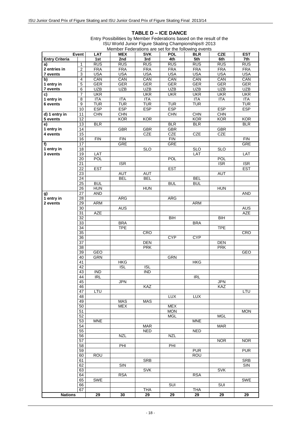#### **TABLE D – ICE DANCE**

|                              | Event                              | LAT               | <b>MEX</b> | <b>SVK</b> | <b>POL</b>      | <b>BLR</b>        | <b>CZE</b>        | <b>EST</b>        |
|------------------------------|------------------------------------|-------------------|------------|------------|-----------------|-------------------|-------------------|-------------------|
| <b>Entry Criteria</b>        |                                    | 1st               | 2nd        | 3rd        | 4th             | 5th               | 6th               | 7th               |
| a)                           | $\mathbf{1}$                       | RUS               | RUS        | RUS        | <b>RUS</b>      | <b>RUS</b>        | RUS               | RUS               |
| 2 entries in                 | $\overline{2}$                     | <b>FRA</b>        | <b>FRA</b> | <b>FRA</b> | <b>FRA</b>      | <b>FRA</b>        | <b>FRA</b>        | <b>FRA</b>        |
| 7 events                     | 3                                  | <b>USA</b>        | <b>USA</b> | <b>USA</b> | <b>USA</b>      | <b>USA</b>        | <b>USA</b>        | <b>USA</b>        |
| $\overline{b}$<br>1 entry in | $\overline{4}$<br>5                | CAN<br><b>GER</b> | CAN<br>GER | CAN<br>GER | CAN<br>GER      | CAN<br><b>GER</b> | CAN<br><b>GER</b> | CAN<br><b>GER</b> |
| 7 events                     | 6                                  | <b>UZB</b>        | <b>UZB</b> | <b>UZB</b> | <b>UZB</b>      | <b>UZB</b>        | <b>UZB</b>        | <b>UZB</b>        |
| c)                           | $\overline{7}$                     | <b>UKR</b>        |            | <b>UKR</b> | <b>UKR</b>      | <b>UKR</b>        | <b>UKR</b>        | <b>UKR</b>        |
| 1 entry in                   | $\overline{8}$                     | <b>ITA</b>        | <b>ITA</b> | <b>ITA</b> |                 | <b>ITA</b>        | <b>ITA</b>        | <b>ITA</b>        |
| 6 events                     | $\overline{9}$                     | <b>TUR</b>        | TUR        | <b>TUR</b> | <b>TUR</b>      | <b>TUR</b>        |                   | <b>TUR</b>        |
|                              | 10                                 | <b>ESP</b>        | <b>ESP</b> | <b>ESP</b> | <b>ESP</b>      |                   | <b>ESP</b>        | <b>ESP</b>        |
| d) 1 entry in                | 11                                 | <b>CHN</b>        | <b>CHN</b> |            | <b>CHN</b>      | CHN               | <b>CHN</b>        |                   |
| 5 events                     | $\overline{12}$                    |                   | KOR        | KOR        |                 | <b>KOR</b>        | <b>KOR</b>        | <b>KOR</b>        |
| e)                           | 13                                 | <b>BLR</b>        |            |            | <b>BLR</b>      | BLR               |                   | <b>BLR</b>        |
| 1 entry in                   | 14                                 |                   | <b>GBR</b> | GBR        | <b>GBR</b>      |                   | <b>GBR</b>        |                   |
| 4 events                     | 15                                 |                   |            | <b>CZE</b> | CZE             | <b>CZE</b>        | <b>CZE</b>        |                   |
|                              | 16                                 | FIN               | FIN        |            | <b>FIN</b>      |                   |                   | <b>FIN</b>        |
| f)<br>1 entry in             | 17<br>$\overline{18}$              |                   | GRE        | <b>SLO</b> | <b>GRE</b>      | <b>SLO</b>        | <b>SLO</b>        | <b>GRE</b>        |
| 3 events                     | 19                                 | LAT               |            |            |                 | LAT               |                   | LAT               |
|                              | $\overline{20}$                    | POL               |            |            | <b>POL</b>      |                   | POL               |                   |
|                              | 21                                 |                   | <b>ISR</b> |            |                 |                   | <b>ISR</b>        | <b>ISR</b>        |
|                              | 22                                 | <b>EST</b>        |            |            | <b>EST</b>      |                   |                   | <b>EST</b>        |
|                              | $\overline{23}$                    |                   | <b>AUT</b> | <b>AUT</b> |                 |                   | <b>AUT</b>        |                   |
|                              | 24                                 |                   | <b>BEL</b> | <b>BEL</b> |                 | <b>BEL</b>        |                   |                   |
|                              | $\overline{25}$                    | <b>BUL</b>        |            |            | <b>BUL</b>      | <b>BUL</b>        |                   |                   |
|                              | 26                                 | <b>HUN</b>        |            | HUN        |                 |                   | <b>HUN</b>        |                   |
| g)                           | 27                                 | <b>AND</b>        |            |            |                 |                   |                   | <b>AND</b>        |
| 1 entry in<br>2 events       | $\overline{28}$<br>29              | <b>ARM</b>        | ARG        |            | ARG             | <b>ARM</b>        |                   |                   |
|                              | $\overline{30}$                    |                   | <b>AUS</b> |            |                 |                   |                   | <b>AUS</b>        |
|                              | $\overline{31}$                    | <b>AZE</b>        |            |            |                 |                   |                   | AZE               |
|                              | 32                                 |                   |            |            | $\overline{BH}$ |                   | B <sub>II</sub>   |                   |
|                              | $\overline{33}$                    |                   | <b>BRA</b> |            |                 | <b>BRA</b>        |                   |                   |
|                              | $\overline{34}$                    |                   | <b>TPE</b> |            |                 |                   | <b>TPE</b>        |                   |
|                              | 35                                 |                   |            | CRO        |                 |                   |                   | <b>CRO</b>        |
|                              | $\overline{36}$                    |                   |            |            | <b>CYP</b>      | <b>CYP</b>        |                   |                   |
|                              | $\overline{37}$<br>$\overline{38}$ |                   |            | <b>DEN</b> |                 |                   | <b>DEN</b>        |                   |
|                              | 39                                 | <b>GEO</b>        |            | <b>PRK</b> |                 |                   | <b>PRK</b>        | <b>GEO</b>        |
|                              | 40                                 | <b>GRN</b>        |            |            | GRN             |                   |                   |                   |
|                              | 41                                 |                   | <b>HKG</b> |            |                 | <b>HKG</b>        |                   |                   |
|                              | 42                                 |                   | <b>ISL</b> | <b>ISL</b> |                 |                   |                   |                   |
|                              | 43                                 | <b>IND</b>        |            | <b>IND</b> |                 |                   |                   |                   |
|                              | 44                                 | <b>IRL</b>        |            |            |                 | <b>IRL</b>        |                   |                   |
|                              | 45                                 |                   | JPN        |            |                 |                   | <b>JPN</b>        |                   |
|                              | 46                                 |                   |            | <b>KAZ</b> |                 |                   | <b>KAZ</b>        |                   |
|                              | 47<br>48                           | LTU               |            |            | <b>LUX</b>      | LUX               |                   | LTU               |
|                              | 49                                 |                   | <b>MAS</b> | <b>MAS</b> |                 |                   |                   |                   |
|                              | 50                                 |                   | <b>MEX</b> |            | <b>MEX</b>      |                   |                   |                   |
|                              | 51                                 |                   |            |            | <b>MON</b>      |                   |                   | <b>MON</b>        |
|                              | 52                                 |                   |            |            | <b>MGL</b>      |                   | <b>MGL</b>        |                   |
|                              | 53                                 | <b>MNE</b>        |            |            |                 | <b>MNE</b>        |                   |                   |
|                              | 54                                 |                   |            | <b>MAR</b> |                 |                   | <b>MAR</b>        |                   |
|                              | 55                                 |                   |            | <b>NED</b> |                 | <b>NED</b>        |                   |                   |
|                              | 56                                 |                   | <b>NZL</b> |            | <b>NZL</b>      |                   |                   |                   |
|                              | 57<br>58                           |                   | PHI        |            | PHI             |                   | <b>NOR</b>        | <b>NOR</b>        |
|                              | 59                                 |                   |            |            |                 | <b>PUR</b>        |                   | <b>PUR</b>        |
|                              | 60                                 | <b>ROU</b>        |            |            |                 | <b>ROU</b>        |                   |                   |
|                              | 61                                 |                   |            | <b>SRB</b> |                 |                   |                   | SRB               |
|                              | 62                                 |                   | SIN        |            |                 |                   |                   | SIN               |
|                              | 63                                 |                   |            | <b>SVK</b> |                 |                   | <b>SVK</b>        |                   |
|                              | 64                                 |                   | <b>RSA</b> |            |                 | <b>RSA</b>        |                   |                   |
|                              | 65                                 | <b>SWE</b>        |            |            |                 |                   |                   | <b>SWE</b>        |
|                              | 66<br>67                           |                   |            | THA        | <b>SUI</b>      | <b>THA</b>        | <b>SUI</b>        |                   |
| <b>Nations</b>               |                                    | 29                | 30         | 29         | 29              | 29                | $\overline{29}$   | 29                |
|                              |                                    |                   |            |            |                 |                   |                   |                   |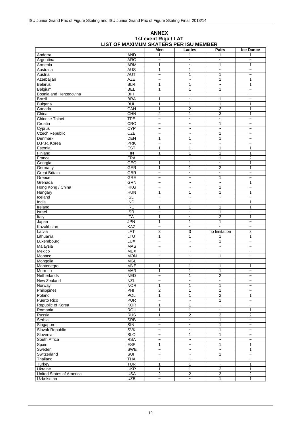|                          |                         | Men                       | Ladies                    | <b>Pairs</b>          | <b>Ice Dance</b>          |
|--------------------------|-------------------------|---------------------------|---------------------------|-----------------------|---------------------------|
| Andorra                  | <b>AND</b>              | 1                         | 1                         | 1                     | 1                         |
| Argentina                | <b>ARG</b>              | $\widetilde{\phantom{m}}$ | $\overline{\phantom{a}}$  | $\tilde{}$            | $\tilde{}$                |
| Armenia                  | <b>ARM</b>              | 1                         | $\tilde{\phantom{a}}$     | 1                     | 1                         |
| Australia                | <b>AUS</b>              | 1                         | 1                         | $\tilde{}$            | $\tilde{\phantom{a}}$     |
| Austria                  | <b>AUT</b>              | $\widetilde{\phantom{m}}$ | $\mathbf{1}$              | 1                     | $\tilde{}$                |
| Azerbaijan               | <b>AZE</b>              | $\tilde{}$                | $\tilde{\phantom{a}}$     | 1                     | 1                         |
| <b>Belarus</b>           | <b>BLR</b>              | 1                         | $\mathbf{1}$              | $\overline{ }$        | 1                         |
| Belgium                  | <b>BEL</b>              | 1                         | 1                         | 1                     | $\tilde{}$                |
| Bosnia and Herzegovina   | BIH                     | $\ddot{ }$                | $\tilde{\phantom{a}}$     | $\ddot{ }$            | $\tilde{\phantom{a}}$     |
| <b>Brazil</b>            | <b>BRA</b>              | 1                         | $\overline{ }$            | 1                     | $\tilde{}$                |
| Bulgaria                 | <b>BUL</b>              | $\mathbf{1}$              | $\mathbf{1}$              | $\mathbf{1}$          | 1                         |
| Canada                   | CAN                     | 1                         | $\overline{2}$            | 3                     | 1                         |
| China                    | CHN                     | $\overline{2}$            | $\mathbf{1}$              | 3                     | $\mathbf{1}$              |
| Chinese Taipei           | <b>TPE</b>              | $\tilde{}$                | $\ddot{ }$                | $\ddot{\phantom{1}}$  | $\ddot{\phantom{0}}$      |
| Croatia                  | CRO                     | $\tilde{}$                | $\tilde{}$                | 1                     | $\tilde{}$                |
| Cyprus                   | <b>CYP</b>              | $\tilde{}$                | $\tilde{}$                | $\ddot{\phantom{1}}$  | $\tilde{}$                |
| <b>Czech Republic</b>    | CZE                     | $\tilde{}$                | $\tilde{}$                | 1                     | $\tilde{\phantom{a}}$     |
| Denmark                  | <b>DEN</b>              | 1                         | 1                         | 1                     | $\tilde{}$                |
| D.P.R. Korea             | <b>PRK</b>              | $\widetilde{\phantom{m}}$ | $\tilde{}$                | $\ddot{ }$            | $\tilde{}$                |
| Estonia                  | <b>EST</b>              | 1                         | 1                         | 1                     | 1                         |
| Finland                  | FIN                     | $\mathbf{1}$              | 1                         | 1                     | 1                         |
| France                   | <b>FRA</b>              | $\ddot{\phantom{0}}$      | $\tilde{\phantom{a}}$     | 1                     | $\overline{2}$            |
| Georgia                  | GEO                     | 1                         | $\mathbf{1}$              | $\tilde{\phantom{a}}$ | 1                         |
| Germany                  | GER                     | $\mathbf{1}$              | $\mathbf{1}$              | $\overline{2}$        | 1                         |
| <b>Great Britain</b>     | <b>GBR</b>              | $\tilde{}$                | $\tilde{}$                | $\ddot{\phantom{0}}$  | $\tilde{}$                |
| Greece                   | GRE                     | $\widetilde{\phantom{m}}$ | $\tilde{}$                | 1                     | $\tilde{}$                |
| Grenada                  | <b>GRN</b>              | $\widetilde{\phantom{m}}$ | $\tilde{}$                | $\ddot{ }$            | $\mathbf{1}$              |
| Hong Kong / China        | <b>HKG</b>              | $\tilde{}$                | $\tilde{}$                | $\mathbf{1}$          | $\tilde{}$                |
| Hungary                  | <b>HUN</b>              | $\mathbf{1}$              | $\mathbf{1}$              | 1                     | 1                         |
| Iceland                  | <b>ISL</b>              | $\tilde{}$                | $\tilde{}$                | $\tilde{}$            | $\tilde{}$                |
| India                    | <b>IND</b>              | $\widetilde{\phantom{m}}$ | $\tilde{}$                | $\tilde{\phantom{a}}$ | 1                         |
| Ireland                  | R <sub>L</sub>          | $\mathbf{1}$              | 1                         | 1                     | $\mathbf{1}$              |
| Israel                   | $\overline{\text{ISR}}$ | $\widetilde{\phantom{m}}$ | $\tilde{}$                | 1                     | $\tilde{}$                |
| Italy                    | <b>ITA</b>              | 1                         | $\tilde{}$                | $\overline{2}$        | 1                         |
| Japan                    | <b>JPN</b>              | $\mathbf{1}$              | $\mathbf{1}$              | 1                     | $\tilde{}$                |
| Kazakhstan               | KAZ                     | $\ddot{\phantom{1}}$      | $\tilde{}$                |                       | $\tilde{}$                |
| Latvia                   | LAT                     | 3                         | 3                         | no limitation         | 3                         |
| Lithuania                | LTU                     | 1                         | 1                         | 1                     | 1                         |
| Luxembourg               | <b>LUX</b>              | $\tilde{}$                | $\tilde{}$                | 1                     | $\tilde{}$                |
| Malaysia                 | <b>MAS</b>              | $\tilde{}$                | $\overline{ }$            | $\ddot{\phantom{0}}$  | $\tilde{\phantom{a}}$     |
| Mexico                   | <b>MEX</b>              | $\tilde{}$                | $\tilde{}$                | $\tilde{\phantom{a}}$ | $\tilde{}$                |
| Monaco                   | <b>MON</b>              | $\tilde{}$                | $\tilde{\phantom{a}}$     | 1                     | $\tilde{}$                |
| Mongolia                 | <b>MGL</b>              | $\tilde{}$                | $\tilde{}$                | $\ddot{\phantom{0}}$  | $\tilde{\phantom{a}}$     |
| Montenegro               | <b>MNE</b>              | 1                         | $\mathbf{1}$              | 1                     | 1                         |
| Morroco                  | <b>MAR</b>              | $\mathbf{1}$              | $\mathbf{1}$              | $\mathbf{1}$          | $\tilde{\phantom{a}}$     |
| Netherlands              | <b>NED</b>              | $\tilde{\phantom{a}}$     | 1                         | 2                     | $\tilde{}$                |
| New Zealand              | <b>NZL</b>              | $\tilde{}$                | $\tilde{}$                | $\ddot{\phantom{0}}$  | $\tilde{}$                |
| Norway                   | <b>NOR</b>              | $\mathbf{1}$              | $\mathbf{1}$              | 1                     | $\tilde{\phantom{a}}$     |
| Philippines              | PHI                     | $\overline{2}$            | $\mathbf{1}$              | 1                     | $\tilde{}$                |
| Poland                   | <b>POL</b>              | $\overline{1}$            | $\mathbf{1}$              | $\overline{2}$        | 1                         |
| Puerto Rico              | <b>PUR</b>              | $\ddot{\phantom{0}}$      | $\overline{\phantom{a}}$  | 1                     | $\tilde{\phantom{a}}$     |
| Republic of Korea        | KOR                     | $\mathbf{1}$              | $\mathbf{1}$              | $\ddot{ }$            | $\tilde{}$                |
| Romania                  | <b>ROU</b>              | $\mathbf{1}$              | $\mathbf{1}$              | $\ddot{\phantom{1}}$  | $\mathbf{1}$              |
| Russia                   | <b>RUS</b>              | 1                         | $\overline{2}$            | 3                     | $\overline{2}$            |
| Serbia                   | <b>SRB</b>              | $\tilde{}$                | $\widetilde{\phantom{m}}$ | 1                     | $\tilde{}$                |
| Singapore                | $\overline{\text{S}}$   | $\overline{\phantom{a}}$  | $\tilde{}$                | 1                     | $\tilde{\phantom{a}}$     |
| Slovak Republic          | <b>SVK</b>              | $\tilde{}$                | $\tilde{}$                | 1                     | $\widetilde{\phantom{m}}$ |
| Slovenia                 | <b>SLO</b>              | $\tilde{}$                | $\mathbf{1}$              | 1                     | $\tilde{}$                |
| South Africa             | <b>RSA</b>              | $\tilde{}$                | $\tilde{}$                | $\tilde{}$            | $\tilde{\phantom{a}}$     |
| Spain                    | <b>ESP</b>              | 1                         | $\tilde{\phantom{a}}$     | $\mathbf{1}$          | $\mathbf{1}$              |
| Sweden                   | <b>SWE</b>              | $\ddot{\phantom{0}}$      | $\tilde{}$                | $\ddot{\phantom{0}}$  | $\mathbf{1}$              |
| Switzerland              | SUI                     | $\tilde{}$                | $\tilde{}$                | $\overline{1}$        | $\widetilde{\phantom{m}}$ |
| Thailand                 | <b>THA</b>              | $\tilde{}$                | $\tilde{}$                | $\tilde{\phantom{a}}$ | $\tilde{}$                |
| Turkey                   | <b>TUR</b>              | $\mathbf{1}$              | $\mathbf{1}$              | $\tilde{}$            | $\mathbf{1}$              |
| Ukraine                  | <b>UKR</b>              | $\mathbf{1}$              | $\mathbf{1}$              | $\overline{2}$        | $\mathbf{1}$              |
| United States of America | <b>USA</b>              | $\overline{2}$            | $\overline{2}$            | $\overline{3}$        | $\overline{2}$            |
| Uzbekistan               | <b>UZB</b>              | $\tilde{}$                | $\tilde{\phantom{a}}$     | 1                     | $\mathbf{1}$              |

#### **ANNEX 1st event Riga / LAT LIST OF MAXIMUM SKATERS PER ISU MEMBER**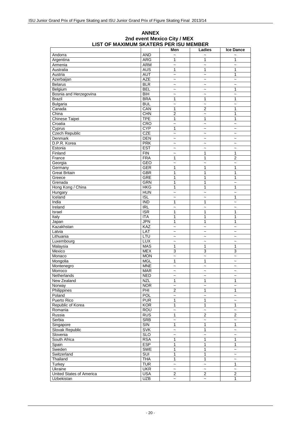#### **Ice Dance** Andorra | AND | ~ | ~ | ~ Argentina ARG 1 1 1 Armenia ARM ~ ~ ~ Australia AUS 1 1 1 Austria | AUT | ~ | *~* | 1 Azerbaijan AZE ~ ~ ~ Belarus BLR ~ ~ ~ Belgium | BEL | ~ | ~ | 1 Bosnia and Herzegovina BIH  $\sim$   $\sim$   $\sim$   $\sim$ Brazil BRA 1 1 1 Bulgaria BUL ~ ~ ~ Canada CAN 1 2 1 China CHN 2 ~ 1 Chinese Taipei TPE 1 1 1 1<br>Croatia Croatia CRO 2 2 2 Croatia CRO ~ ~ ~ Cyprus | CYP | 1 | ~ | ~ Czech Republic CZE  $\overline{C}$  CZE  $\overline{C}$   $\overline{C}$   $\overline{C}$   $\overline{C}$   $\overline{C}$   $\overline{C}$   $\overline{C}$   $\overline{C}$   $\overline{C}$   $\overline{C}$   $\overline{C}$   $\overline{C}$   $\overline{C}$   $\overline{C}$   $\overline{C}$   $\overline{C}$   $\overline{C}$   $\overline{C}$   $\overline{C}$   $\overline{C}$   $\overline{C}$  Denmark DEN ~ ~ ~ D.P.R. Korea PRK ~ ~ ~ Estonia EST ~ ~ ~ Finland FIN ~ 1 1 France FRA 1 1 2 Georgia GEO ~ ~ ~ Germany | GER | 1 | 1 1 Great Britain GBR 1 1 1 Greece GRE 1 1 1 Grenada GRN 1 1 ~ Hong Kong / China HKG 1 1 1 Hungary | HUN | ~ | ~ | ~ Iceland ISL ~ ~ 1 India IND 1 1 ~ Ireland | IRL | ~ | ~ | ~ Israel ISR 1 1 1 Italy | ITA | 1 | 1 1 Japan JPN 1 1 1 Kazakhstan KAZ ~ ~ ~ Latvia LAT ~ ~ ~ Lithuania LTU ~ ~ ~ Luxembourg LUX ~ ~ ~ Malaysia | MAS | 1 | 1 1 Mexico MEX 3 3 3 Monaco MON ~ ~ ~ Mongolia | MGL | 1 | 1 ~ Montenegro MNE  $\vert$   $\sim$   $\vert$   $\sim$   $\vert$   $\sim$   $\vert$   $\sim$ Morroco | MAR | ~ | ~ | ~ Netherlands  $\begin{vmatrix} \text{NED} & | & \sim & | & \sim & | & \sim & \sim \end{vmatrix}$ New Zealand NZL 1 1 1 1<br>Norway NOR  $\sim$   $\sim$   $\sim$ Norway  $\begin{array}{|c|c|c|c|c|c|}\hline \text{Norway} & \multicolumn{1}{|c|}{\sim} & \multicolumn{1}{|c|}{\sim} & \multicolumn{1}{|c|}{\sim} & \multicolumn{1}{|c|}{\sim} & \multicolumn{1}{|c|}{\sim} & \multicolumn{1}{|c|}{\sim} & \multicolumn{1}{|c|}{\sim} & \multicolumn{1}{|c|}{\sim} & \multicolumn{1}{|c|}{\sim} & \multicolumn{1}{|c|}{\sim} & \multicolumn{1}{|c|}{\sim} & \multicolumn{1}{|c|}{\sim} & \multicolumn{$ Philippines PHI 2 1 1 1<br>Poland POL 2 2 2 2 Poland | POL | ~ | ~ | ~ Puerto Rico PUR 1 1 2 Republic of Korea KOR 1 1 1 Romania ROU ~ ~ ~ Russia RUS 1 2 2 Serbia SRB ~ ~ ~ Singapore SIN 1 1 1 Slovak Republic SVK ~ 1 Slovenia SLO ~ ~ ~ South Africa RSA 1 1 1 1 1 Spain ESP 1 1 1 Sweden SWE 1 1 ~ Switzerland Switzerland Suit 1 1 - 3 Thailand THA 1 1 ~ Turkey the state  $\begin{array}{|c|c|c|c|c|}\hline \text{True} & \text{True} & \text{True} & \text{True} & \text{True} & \text{True} & \text{True} & \text{True} & \text{True} & \text{True} & \text{True} & \text{True} & \text{True} & \text{True} & \text{True} & \text{True} & \text{True} & \text{True} & \text{True} & \text{True} & \text{True} & \text{True} & \text{True} & \text{True} & \text{True} & \text{True} & \text{True} & \text{True} & \text{True} & \text{True} & \text{True$ Ukraine UKR ~ ~ ~ United States of America USA 2 2 2 Uzbekistan 1 | UZB |  $\sim$  |  $\sim$  | 1

#### **ANNEX 2nd event Mexico City / MEX LIST OF MAXIMUM SKATERS PER ISU MEMBER**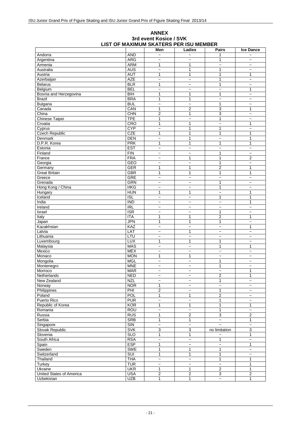#### **Ice Dance** Andorra | AND ~ 1 ~ Argentina | ARG ~ | ~ 1 | ~ Armenia ARM 1 1 ~ ~ Australia AUS ~ 1 1 ~ Austria AUT 1 1 1 1 Azerbaijan AZE ~ ~ 1 ~ Belarus BLR 1 ~ 1 ~ Belgium |BEL | ~ | ~ | 1 Bosnia and Herzegovina BIH 1 1 1 1  $\sim$ <br>Brazil BRA 1 1  $\sim$ Brazil BRA 1 1 ~ ~ Bulgaria BUL ~ ~ 1 ~ Canada CAN 1 2 3 1 China CHN 2 1 3 ~ Chinese Taipei TPE 1 - 1 - 1 - 2<br>Croatia CRO 1 1 - 2 1 Croatia CRO 1 1 ~ 1 Cyprus CYP ~ 1 1 ~ Czech Republic CZE 1 1 1 1 Denmark DEN ~ 1 ~ 1 D.P.R. Korea PRK 1 1 1 1 Estonia and  $\begin{array}{|c|c|c|c|c|c|}\hline \text{Estonia} & \sim & \begin{array}{|c|c|c|c|c|}\hline \text{X} & \sim & \end{array} & \sim & \begin{array}{|c|c|c|c|c|}\hline \text{X} & \sim & \end{array} & \begin{array}{|c|c|c|c|c|}\hline \text{X} & \sim & \end{array} & \begin{array}{|c|c|c|c|c|}\hline \text{X} & \sim & \end{array} & \begin{array}{|c|c|c|c|c|}\hline \text{X} & \sim & \end{array} & \begin{$ Finland FIN ~ ~ 1 ~ France FRA ~ 1 1 2 Georgia GEO ~ ~ 1 ~ Germany GER 1 1 2 1 Great Britain GBR 1 1 1 1 1 1 1 1 1 1 1 Greece GRE  $\sim$   $\sim$   $\sim$   $\sim$   $\sim$   $\sim$   $\sim$ Greece GRE ~ ~ ~ ~ Grenada GRN ~ ~ 1 ~ Hong Kong / China HKG ~ ~ 1 ~ Hungary | HUN | 1 | 1 1 Iceland ISL ~ ~ 1 1 India | IND | ~ | ~ | ~ | 1 Ireland | IRL | ~ | ~ | ~ | ~ Israel | ISR 1 | ~ Italy | ITA | 1 | 1 2 | 1 Japan JPN 1 1 1 ~ Kazakhstan | KAZ | ~ | ~ | ~ | 1 Latvia LAT ~ 1 ~ ~ Lithuania LTU ~ ~ ~ ~ Luxembourg | LUX | 1 | 1 | ~ Malaysia | MAS | ~ | ~ 1 | 1 Mexico | MEX | ~ | ~ | ~ | ~ Monaco MON 1 1 ~ ~ Mongolia MGL ~ ~ 1 ~ Montenegro | MNE 1 ~ Morroco | MAR | ~ | ~ 1 Netherlands NED ~ ~ 2 1 New Zealand NZL  $\sim$  1<br>Norway NOR 1  $\sim$  2 Norway NOR 1 ~ ~ ~ Philippines PHI 2 ~ 1 ~ Poland POL 1 1 2 ~ Puerto Rico | PUR | ~ | ~ | 1 | ~ Republic of Korea KOR 1 1 1 1 Romania ROU ~ ~ 1 ~ Russia |RUS | 1 | 2 3 | 2 Serbia SRB 1 1 ~ 1 Singapore | SIN ~ | ~ ~ | ~ Slovak Republic SVK 3 3 no limitation 3<br>Slovenia SLO 1 1 2 1 Slovenia SLO 1 1 ~ 1 South Africa | RSA 1 ~ Spain ESP 1 ~ ~ 1 Sweden SWE 1 1 1 ~ Switzerland SUI 1 1 1 ~ Thailand THA ~ ~ 1 1 Turkey | TUR | ~ | ~ | ~ | 1 Ukraine UKR 1 1 2 1 United States of America USA 2 2 3 2

### **ANNEX 3rd event Kosice / SVK LIST OF MAXIMUM SKATERS PER ISU MEMBER**

Uzbekistan UZB 1 1 ~ 1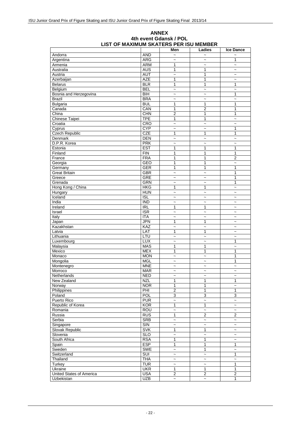#### **ANNEX 4th event Gdansk / POL LIST OF MAXIMUM SKATERS PER ISU MEMBER**

|                          |                          | Men                       | Ladies                         | <b>Ice Dance</b>          |
|--------------------------|--------------------------|---------------------------|--------------------------------|---------------------------|
| Andorra                  | <b>AND</b>               | $\ddot{ }$                | $\tilde{\phantom{a}}$          |                           |
| Argentina                | <b>ARG</b>               | $\tilde{}$                | $\tilde{}$                     | 1                         |
| Armenia                  | <b>ARM</b>               | 1                         | $\tilde{}$                     | $\tilde{\phantom{a}}$     |
| Australia                | <b>AUS</b>               | 1                         | 1                              | $\widetilde{\phantom{m}}$ |
| Austria                  | <b>AUT</b>               | $\tilde{\phantom{a}}$     | 1                              | $\tilde{\phantom{a}}$     |
| Azerbaijan               | <b>AZE</b>               | 1                         | 1                              | $\tilde{\phantom{a}}$     |
| <b>Belarus</b>           | <b>BLR</b>               | 1                         | 1                              | 1                         |
| Belgium                  | <b>BEL</b>               | $\ddot{\phantom{1}}$      | $\tilde{}$                     | $\tilde{}$                |
| Bosnia and Herzegovina   | $\overline{BH}$          | $\ddot{\phantom{1}}$      | $\ddot{\phantom{1}}$           | 1                         |
| <b>Brazil</b>            | <b>BRA</b>               | $\tilde{}$                | $\tilde{}$                     | $\tilde{\phantom{a}}$     |
| <b>Bulgaria</b>          | <b>BUL</b>               | 1                         | 1                              | 1                         |
| Canada                   | CAN                      | 1                         | $\overline{c}$                 | $\mathbf{1}$              |
| China                    | CHN                      | $\overline{2}$            | 1                              | 1                         |
| Chinese Taipei           | <b>TPE</b>               | 1                         | 1                              | $\ddot{\phantom{0}}$      |
| Croatia                  | CRO                      | $\tilde{}$                | $\ddot{\phantom{0}}$           | $\tilde{}$                |
| Cyprus                   | <b>CYP</b>               | $\tilde{}$                | $\tilde{}$                     | 1                         |
| <b>Czech Republic</b>    | <b>CZE</b>               | $\mathbf{1}$              | 1                              | 1                         |
| Denmark                  | <b>DEN</b>               | $\overline{ }$            | $\tilde{}$                     | $\tilde{\phantom{a}}$     |
| D.P.R. Korea             | <b>PRK</b>               | $\tilde{}$                | $\tilde{}$                     | $\tilde{}$                |
| Estonia                  | <b>EST</b>               | 1                         | 1                              | 1                         |
| Finland                  | FIN                      | 1                         | 1                              | 1                         |
| France                   | <b>FRA</b>               | 1                         | 1                              | $\overline{2}$            |
| Georgia                  | <b>GEO</b>               | 1                         | 1                              | $\overline{\phantom{0}}$  |
| Germany                  | <b>GER</b>               | 1                         | 1                              | 1                         |
| <b>Great Britain</b>     | GBR                      | $\ddot{\phantom{0}}$      | $\ddot{\phantom{1}}$           | 1                         |
| Greece                   | <b>GRE</b>               | $\tilde{}$                | $\ddot{\phantom{1}}$           | 1                         |
| Grenada                  | GRN                      | $\overline{\phantom{0}}$  | $\sim$                         | 1                         |
| Hong Kong / China        | <b>HKG</b>               | 1                         | 1                              | $\tilde{}$                |
| Hungary                  | <b>HUN</b>               | $\overline{\phantom{0}}$  | $\ddot{\phantom{0}}$           | $\tilde{\phantom{a}}$     |
| Iceland                  | <b>ISL</b>               | $\tilde{\phantom{a}}$     | $\tilde{}$                     | $\tilde{}$                |
| India                    | <b>IND</b>               | $\tilde{}$                | $\tilde{}$                     | $\tilde{\phantom{a}}$     |
| Ireland                  | <b>IRL</b>               | 1                         | 1                              | $\tilde{}$                |
| Israel                   | <b>ISR</b>               | $\ddot{\phantom{1}}$      | $\tilde{}$                     | $\tilde{}$                |
| Italy                    | <b>ITA</b>               | $\tilde{\phantom{a}}$     | $\tilde{}$                     | $\widetilde{\phantom{m}}$ |
| Japan                    | JPN                      | 1                         | 1                              | $\tilde{\phantom{a}}$     |
| Kazakhstan               | KAZ                      | $\overline{ }$            | $\overline{\phantom{0}}$       | $\tilde{}$                |
| Latvia                   | LAT                      | 1                         | 1                              | $\tilde{\phantom{a}}$     |
| Lithuania                | LTU                      | $\tilde{}$                | $\tilde{}$                     | $\tilde{}$                |
| Luxembourg               | <b>LUX</b>               | $\tilde{\phantom{a}}$     | $\ddot{\phantom{1}}$           | 1<br>$\sim$               |
| Malaysia<br>Mexico       | <b>MAS</b><br><b>MEX</b> | 1<br>1                    | 1<br>1                         | 1                         |
| Monaco                   | <b>MON</b>               | $\ddot{\phantom{1}}$      | $\ddot{\phantom{1}}$           | 1                         |
| Mongolia                 | <b>MGL</b>               | $\tilde{\phantom{a}}$     | $\widetilde{\phantom{m}}$      | $\mathbf{1}$              |
| Montenegro               | <b>MNE</b>               | $\tilde{}$                | $\tilde{\phantom{a}}$          | $\tilde{\phantom{a}}$     |
| Morroco                  | <b>MAR</b>               | $\tilde{}$                | $\tilde{}$                     | $\tilde{\phantom{a}}$     |
| Netherlands              | <b>NED</b>               | $\widetilde{\phantom{m}}$ |                                |                           |
| New Zealand              | <b>NZL</b>               | 1                         | $\widetilde{\phantom{m}}$<br>1 | $\tilde{}$<br>1           |
| Norway                   | <b>NOR</b>               | $\mathbf{1}$              | 1                              | $\sim$                    |
| Philippines              | PHI                      | $\boldsymbol{2}$          | 1                              | 1                         |
| Poland                   | POL                      | $\overline{3}$            | 3                              | 3                         |
| Puerto Rico              | <b>PUR</b>               | $\tilde{}$                | $\tilde{}$                     | $\tilde{\phantom{a}}$     |
| Republic of Korea        | KOR                      | 1                         | 1                              | $\ddot{\phantom{0}}$      |
| Romania                  | <b>ROU</b>               | $\ddot{ }$                | $\sim$                         | $\sim$                    |
| Russia                   | <b>RUS</b>               | 1                         | $\overline{2}$                 | 2                         |
| Serbia                   | SRB                      | $\tilde{}$                | $\tilde{}$                     | $\tilde{\phantom{a}}$     |
| Singapore                | $\overline{\text{S}}$    | $\widetilde{\phantom{m}}$ | $\tilde{\phantom{a}}$          | $\tilde{\phantom{a}}$     |
| <b>Slovak Republic</b>   | <b>SVK</b>               | 1                         | 1                              | $\tilde{}$                |
| Slovenia                 | <b>SLO</b>               | $\ddot{\phantom{0}}$      | $\ddot{\phantom{0}}$           | $\tilde{\phantom{a}}$     |
| South Africa             | <b>RSA</b>               | 1                         | 1                              | $\tilde{}$                |
| Spain                    | <b>ESP</b>               | 1                         | 1                              | $\mathbf{1}$              |
| Sweden                   | <b>SWE</b>               | $\ddot{\phantom{0}}$      | $\mathbf{1}$                   | $\sim$                    |
| Switzerland              | <b>SUI</b>               | $\widetilde{\phantom{m}}$ | $\ddot{\phantom{0}}$           | 1                         |
| Thailand                 | <b>THA</b>               | $\widetilde{\phantom{m}}$ | $\tilde{}$                     | $\tilde{}$                |
| Turkey                   | <b>TUR</b>               | $\tilde{\phantom{a}}$     | $\tilde{}$                     | 1                         |
| Ukraine                  | <b>UKR</b>               | $\mathbf{1}$              | $\mathbf{1}$                   | $\mathbf{1}$              |
| United States of America | <b>USA</b>               | $\overline{2}$            | $\overline{2}$                 | $\overline{2}$            |
| <b>Uzbekistan</b>        | <b>UZB</b>               | $\tilde{\phantom{a}}$     | $\tilde{\phantom{a}}$          | 1                         |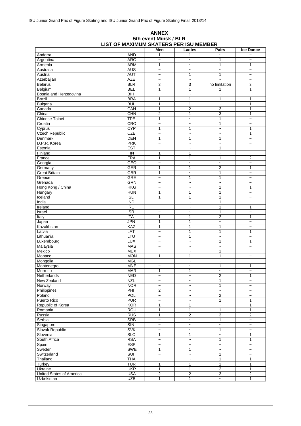#### **Ice Dance** Andorra AND 1 1 ~ ~ Argentina | ARG ~ | ~ 1 | ~ Armenia ARM 1 ~ 1 1 Australia | AUS | ~ | ~ ~ | ~ Austria AUT ~ 1 1 ~ Azerbaijan AZE ~ ~ ~ ~ Belarus BLR 3 3 no limitation 3 Belgium BEL 1 1 1 1 Bosnia and Herzegovina BIH and The Research Contract in the Second Second Second Second Second Second Second Second Second Second Second Second Second Second Second Second Second Second Second Second Second Second Second S Brazil BRA 1 1 1 1 Bulgaria BUL 1 1 ~ 1 Canada CAN 1 2 3 1 China CHN 2 1 3 1 Chinese Taipei TPE 1 - 1 - 1 - 2<br>Croatia CRO - 2 - 1 - 2 Croatia CRO ~ ~ 1 ~ Cyprus CYP 1 1 ~ 1 Czech Republic CZE  $\sim$   $\sim$   $\sim$  1 Denmark DEN 1 1 1 ~ D.P.R. Korea | PRK | ~ | ~ | ~ | ~ Estonia EST ~ ~ 1 ~ Finland FIN 1 1 ~ ~ France FRA 1 1 1 2 Georgia | GEO | ~ | ~ | ~ | ~ Germany GER 1 1 2 1 Great Britain GBR 1 ~ 1 ~ Greece Greece GRE  $\sim$  1 1  $\sim$ Grenada GRN ~ ~ ~ ~ Hong Kong / China HKG ~ ~ 1 1 Hungary | HUN | 1 | 1 | ~ Iceland ISL 1 1 1 ~ India IND ~ ~ 1 ~ Ireland | IRL | ~ | ~ | 1 | 1 Israel | ISR 1 | ~ Italy | ITA | 1 | 1 2 | 1 Japan JPN 1 1 ~ ~ Kazakhstan KAZ 1 1 1 ~ Latvia LAT ~ 1 1 1 Lithuania LTU ~ 1 ~ ~ Luxembourg | LUX | ~ | ~ 1 | 1 Malaysia | MAS ~ | ~ | ~ Mexico | MEX | ~ | ~ 1 | ~ Monaco MON 1 1 1 ~ Mongolia MGL ~ ~ ~ ~ Montenegro MNE ~ ~ 1 1 Morroco MAR 1 1 ~ ~ Netherlands NED ~ ~ 2 1 New Zealand NZL  $\sim$   $\sim$  1<br>Norway Norway NOR  $\sim$  1 Norway NOR ~ ~ 1 ~ Philippines PHI 2 ~ ~ ~ Poland | POL | ~ | ~ | 2 | ~ Puerto Rico | PUR | ~ | ~ | 1 | 1 Republic of Korea KOR 1 1 ~ 1<br>Romania ROU 1 1 1 1 1 Romania ROU 1 1 1 1 Russia |RUS | 1 | 2 3 | 2 Serbia SRB ~ ~ 1 ~ Singapore | SIN ~ | ~ ~ | ~ Slovak Republic SVK  $\sim$   $\sim$  1  $\sim$  5lovak Republic SLO 1 1  $\sim$  1 Slovenia SLO 1 1 ~ 1 South Africa | RSA | | ~ 1 | 1 Spain ESP ~ ~ ~ ~ Sweden SWE 1 1 ~ ~ Switzerland | SUI | ~ | ~ | 1 | ~ Thailand THA ~ ~ 1 1 Turkey | TUR | 1 | 1 | 1 | 1 Ukraine UKR 1 1 2 1 United States of America USA 2 2 3 2

### **ANNEX 5th event Minsk / BLR LIST OF MAXIMUM SKATERS PER ISU MEMBER**

Uzbekistan UZB 1 1 ~ 1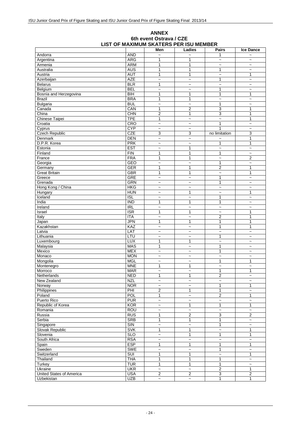#### **ANNEX 6th event Ostrava / CZE LIST OF MAXIMUM SKATERS PER ISU MEMBER**

|                          |                  | Men                       | Ladies                    | <b>Pairs</b>              | <b>Ice Dance</b>          |
|--------------------------|------------------|---------------------------|---------------------------|---------------------------|---------------------------|
| Andorra                  | <b>AND</b>       |                           |                           | 1                         |                           |
| Argentina                | <b>ARG</b>       | 1                         | 1                         | $\tilde{}$                | $\tilde{}$                |
| Armenia                  | <b>ARM</b>       | $\mathbf{1}$              | 1                         | $\tilde{}$                | $\tilde{\phantom{a}}$     |
| Australia                | <b>AUS</b>       | $\mathbf{1}$              | 1                         | 1                         | $\tilde{}$                |
| Austria                  | <b>AUT</b>       | $\mathbf{1}$              | $\mathbf{1}$              | $\tilde{}$                | 1                         |
| Azerbaijan               | <b>AZE</b>       | $\tilde{}$                | $\tilde{}$                | 1                         | $\widetilde{\phantom{m}}$ |
| <b>Belarus</b>           | <b>BLR</b>       | $\mathbf{1}$              | $\tilde{}$                | $\tilde{}$                | $\tilde{\phantom{a}}$     |
| Belgium                  | <b>BEL</b>       | $\widetilde{\phantom{m}}$ | $\sim$                    | 1                         | $\sim$                    |
| Bosnia and Herzegovina   | <b>BIH</b>       | 1                         | 1                         | 1                         | 1                         |
| <b>Brazil</b>            | <b>BRA</b>       | $\mathbf{1}$              | 1                         | $\tilde{}$                | $\widetilde{\phantom{m}}$ |
| Bulgaria                 | <b>BUL</b>       | $\tilde{}$                | $\ddot{ }$                | $\mathbf{1}$              | $\tilde{\phantom{a}}$     |
| Canada                   | CAN              | 1                         | $\boldsymbol{2}$          | 3                         | $\mathbf{1}$              |
| China                    | <b>CHN</b>       | $\boldsymbol{2}$          | $\mathbf{1}$              | $\overline{3}$            | 1                         |
| <b>Chinese Taipei</b>    | <b>TPE</b>       | 1                         | $\tilde{}$                | $\tilde{}$                | 1                         |
| Croatia                  | CRO              | $\tilde{\phantom{a}}$     | $\tilde{}$                | $\mathbf{1}$              | $\tilde{}$                |
| Cyprus                   | <b>CYP</b>       | $\tilde{}$                | $\sim$                    | 1                         | $\sim$                    |
| <b>Czech Republic</b>    | CZE              | 3                         | $\overline{3}$            | no limitation             | 3                         |
| Denmark                  | <b>DEN</b>       | $\tilde{}$                | $\tilde{}$                | $\tilde{\phantom{a}}$     | 1                         |
| D.P.R. Korea             | <b>PRK</b>       | $\tilde{\phantom{a}}$     | $\tilde{}$                | $\mathbf{1}$              | $\mathbf{1}$              |
| Estonia                  | <b>EST</b>       | $\tilde{}$                | 1                         | $\overline{\phantom{0}}$  | $\tilde{\phantom{a}}$     |
| Finland                  | <b>FIN</b>       | 1                         | $\mathbf{1}$              | 1                         | $\tilde{}$                |
| France                   | <b>FRA</b>       | $\mathbf{1}$              | 1                         | $\tilde{}$                | $\overline{2}$            |
| Georgia                  | <b>GEO</b>       | $\tilde{}$                | $\tilde{}$                | 1                         | $\tilde{\phantom{a}}$     |
| Germany                  | <b>GER</b>       | $\mathbf{1}$              | $\mathbf{1}$              | 2                         | $\mathbf{1}$              |
| <b>Great Britain</b>     | <b>GBR</b>       | $\mathbf{1}$              | 1                         | $\overline{a}$            | 1                         |
| Greece                   | GRE              | $\tilde{}$                | $\tilde{}$                | 1                         | $\tilde{\phantom{a}}$     |
| Grenada                  | <b>GRN</b>       | $\tilde{}$                | $\tilde{}$                | 1                         | $\widetilde{\phantom{m}}$ |
| Hong Kong / China        | <b>HKG</b>       | $\tilde{}$                | $\tilde{}$                | $\tilde{}$                | $\tilde{\phantom{a}}$     |
| Hungary                  | <b>HUN</b>       | $\sim$                    | $\mathbf{1}$              | $\sim$                    | $\mathbf{1}$              |
| Iceland                  | $\overline{ISL}$ | $\tilde{}$                | $\overline{a}$            | 1                         | $\tilde{\phantom{a}}$     |
| India                    | $\overline{IND}$ | 1                         | 1                         | 1                         | $\tilde{}$                |
| Ireland                  | <b>IRL</b>       | $\tilde{\phantom{a}}$     | $\ddot{\phantom{0}}$      | $\tilde{\phantom{a}}$     | $\tilde{}$                |
| Israel                   | <b>ISR</b>       | 1                         | 1                         | $\tilde{}$                | 1                         |
| Italy                    | <b>ITA</b>       | $\tilde{\phantom{a}}$     | $\tilde{}$                | $\overline{2}$            | 1                         |
| Japan                    | <b>JPN</b>       | 1                         | 1                         | 1                         | 1                         |
| Kazakhstan               | KAZ              | $\tilde{}$                | $\tilde{}$                | $\mathbf{1}$              | $\mathbf{1}$              |
| Latvia                   | LAT              | $\sim$                    | $\tilde{}$                | $\ddot{ }$                | $\ddot{\phantom{0}}$      |
| Lithuania                | LTU              | $\tilde{}$                | $\tilde{}$                | 1                         | $\tilde{}$                |
| Luxembourg               | <b>LUX</b>       | $\mathbf{1}$              | $\mathbf{1}$              | $\tilde{}$                | $\tilde{\phantom{a}}$     |
| Malaysia                 | <b>MAS</b>       | $\mathbf{1}$              | $\tilde{}$                | 1                         | $\widetilde{\phantom{m}}$ |
| Mexico                   | <b>MEX</b>       | $\tilde{}$                | $\tilde{}$                | 1                         | $\overline{\phantom{0}}$  |
| Monaco                   | <b>MON</b>       | $\tilde{}$                | $\sim$                    | $\sim$                    | $\tilde{\phantom{a}}$     |
| Mongolia                 | <b>MGL</b>       | $\tilde{}$                | $\tilde{}$                | 1                         | 1                         |
| Montenegro               | <b>MNE</b>       | $\mathbf{1}$              | 1                         | $\tilde{}$                | $\tilde{}$                |
| Morroco                  | <b>MAR</b>       | $\tilde{}$                | $\tilde{}$                | $\mathbf{1}$              | $\mathbf{1}$              |
| Netherlands              | <b>NED</b>       | 1                         | 1                         | 2                         | $\widetilde{\phantom{m}}$ |
| New Zealand              | <b>NZL</b>       | $\tilde{}$                | $\tilde{}$                | $\ddot{\phantom{1}}$      | $\tilde{}$                |
| Norway                   | <b>NOR</b>       | $\tilde{}$                | $\widetilde{\phantom{m}}$ | 1                         | 1                         |
| Philippines              | PHI              | $\overline{2}$            | $\mathbf{1}$              | $\mathbf{1}$              | $\widetilde{\phantom{m}}$ |
| Poland                   | POL              | $\mathbf{1}$              | $\ddot{ }$                | $\overline{2}$            | 1                         |
| Puerto Rico              | <b>PUR</b>       | $\tilde{}$                | $\tilde{}$                | $\tilde{}$                | $\tilde{}$                |
| Republic of Korea        | KOR              | $\tilde{}$                | $\mathbf{1}$              | $\mathbf{1}$              | $\mathbf{1}$              |
| Romania                  | <b>ROU</b>       | $\tilde{}$                | $\tilde{}$                | $\widetilde{\phantom{m}}$ | $\tilde{\phantom{a}}$     |
| Russia                   | <b>RUS</b>       | $\mathbf{1}$              | $\overline{2}$            | $\overline{3}$            | $\overline{c}$            |
| Serbia                   | <b>SRB</b>       | $\mathbf{1}$              | $\mathbf{1}$              | 1                         | $\tilde{\phantom{a}}$     |
| Singapore                | SIN              | $\tilde{}$                | $\tilde{}$                | $\mathbf{1}$              | $\tilde{}$                |
| Slovak Republic          | <b>SVK</b>       | $\mathbf{1}$              | $\overline{1}$            | $\widetilde{\phantom{m}}$ | 1                         |
| Slovenia                 | <b>SLO</b>       | $\tilde{\phantom{a}}$     | $\mathbf{1}$              | 1                         | 1                         |
| South Africa             | <b>RSA</b>       | $\tilde{}$                | $\overline{\phantom{a}}$  | $\tilde{}$                | $\tilde{}$                |
| Spain                    | <b>ESP</b>       | $\mathbf{1}$              | $\mathbf{1}$              | 1                         | $\mathbf{1}$              |
| Sweden                   | <b>SWE</b>       | $\tilde{}$                | $\overline{\phantom{a}}$  | 1                         | $\tilde{}$                |
| Switzerland              | <b>SUI</b>       | $\mathbf{1}$              | $\mathbf{1}$              | $\widetilde{\phantom{m}}$ | $\mathbf{1}$              |
| Thailand                 | <b>THA</b>       | $\mathbf{1}$              | 1                         | 1                         | $\tilde{\phantom{a}}$     |
| Turkey                   | <b>TUR</b>       | $\mathbf{1}$              | $\mathbf{1}$              | 1                         | $\tilde{}$                |
| Ukraine                  | <b>UKR</b>       | $\widetilde{\phantom{m}}$ | $\tilde{}$                | $\overline{2}$            | 1                         |
| United States of America | <b>USA</b>       | $\overline{2}$            | $\overline{2}$            | $\overline{3}$            | $\overline{2}$            |
| Uzbekistan               | <b>UZB</b>       | $\tilde{}$                | $\tilde{}$                | 1                         | 1                         |